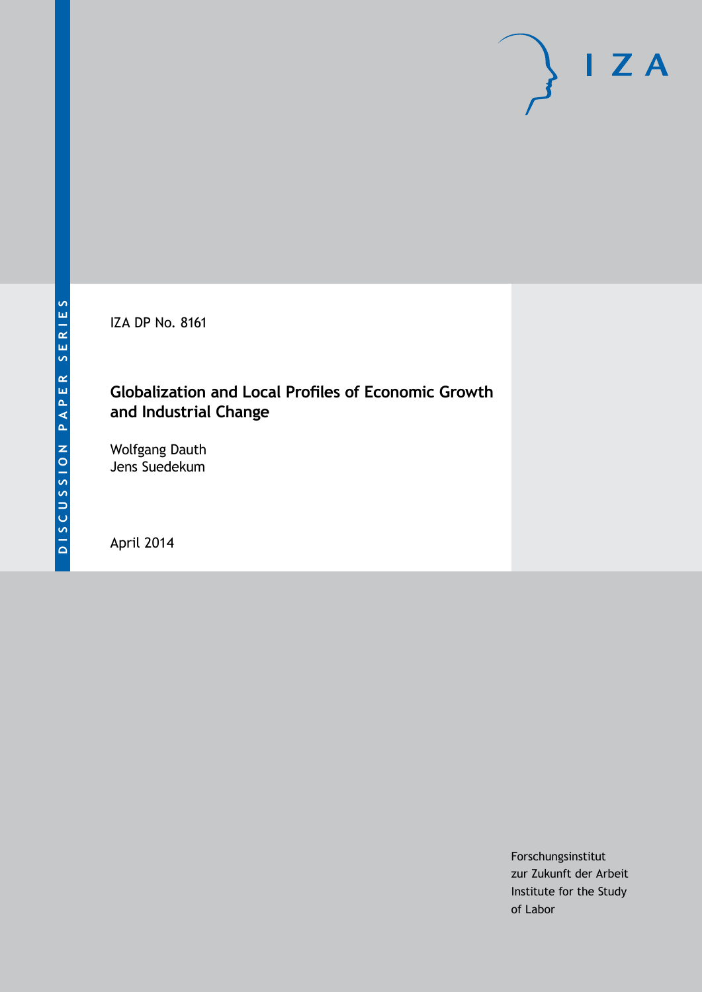IZA DP No. 8161

## **Globalization and Local Profiles of Economic Growth and Industrial Change**

Wolfgang Dauth Jens Suedekum

April 2014

Forschungsinstitut zur Zukunft der Arbeit Institute for the Study of Labor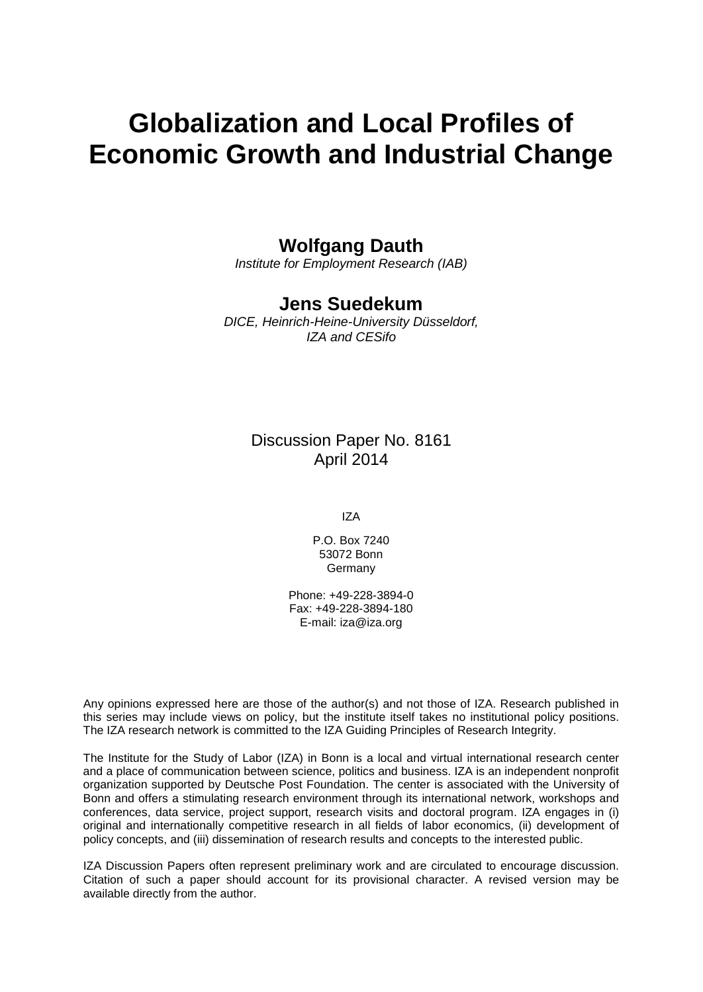# **Globalization and Local Profiles of Economic Growth and Industrial Change**

## **Wolfgang Dauth**

*Institute for Employment Research (IAB)*

## **Jens Suedekum**

*DICE, Heinrich-Heine-University Düsseldorf, IZA and CESifo*

### Discussion Paper No. 8161 April 2014

IZA

P.O. Box 7240 53072 Bonn Germany

Phone: +49-228-3894-0 Fax: +49-228-3894-180 E-mail: [iza@iza.org](mailto:iza@iza.org)

Any opinions expressed here are those of the author(s) and not those of IZA. Research published in this series may include views on policy, but the institute itself takes no institutional policy positions. The IZA research network is committed to the IZA Guiding Principles of Research Integrity.

The Institute for the Study of Labor (IZA) in Bonn is a local and virtual international research center and a place of communication between science, politics and business. IZA is an independent nonprofit organization supported by Deutsche Post Foundation. The center is associated with the University of Bonn and offers a stimulating research environment through its international network, workshops and conferences, data service, project support, research visits and doctoral program. IZA engages in (i) original and internationally competitive research in all fields of labor economics, (ii) development of policy concepts, and (iii) dissemination of research results and concepts to the interested public.

<span id="page-1-0"></span>IZA Discussion Papers often represent preliminary work and are circulated to encourage discussion. Citation of such a paper should account for its provisional character. A revised version may be available directly from the author.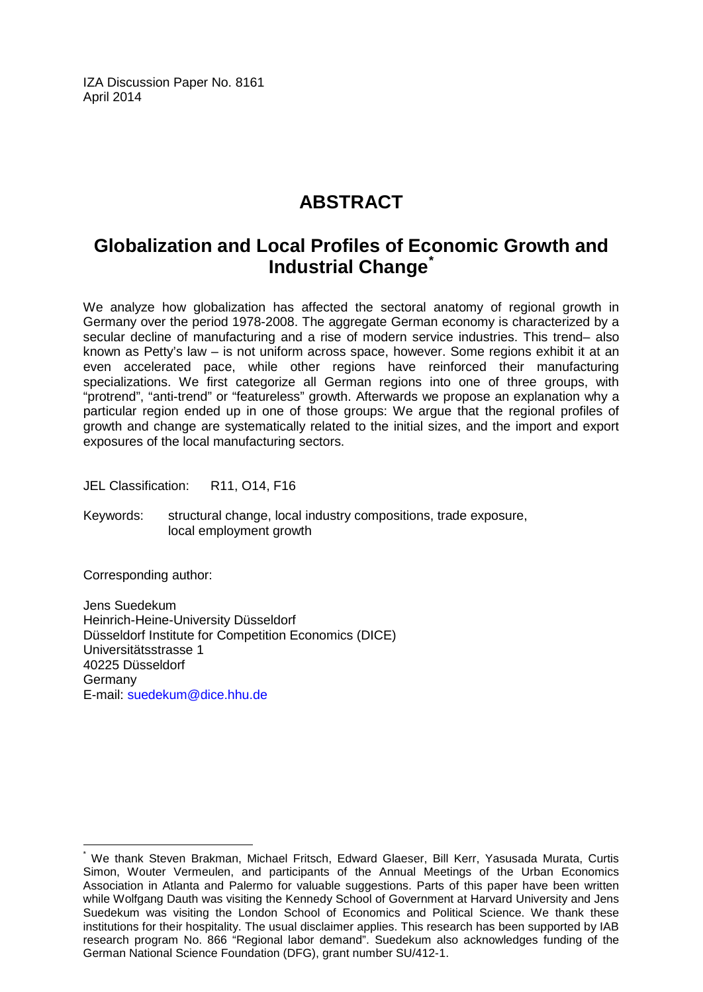IZA Discussion Paper No. 8161 April 2014

## **ABSTRACT**

## **Globalization and Local Profiles of Economic Growth and Industrial Change[\\*](#page-1-0)**

We analyze how globalization has affected the sectoral anatomy of regional growth in Germany over the period 1978-2008. The aggregate German economy is characterized by a secular decline of manufacturing and a rise of modern service industries. This trend– also known as Petty's law – is not uniform across space, however. Some regions exhibit it at an even accelerated pace, while other regions have reinforced their manufacturing specializations. We first categorize all German regions into one of three groups, with "protrend", "anti-trend" or "featureless" growth. Afterwards we propose an explanation why a particular region ended up in one of those groups: We argue that the regional profiles of growth and change are systematically related to the initial sizes, and the import and export exposures of the local manufacturing sectors.

JEL Classification: R11, O14, F16

Keywords: structural change, local industry compositions, trade exposure, local employment growth

Corresponding author:

Jens Suedekum Heinrich-Heine-University Düsseldorf Düsseldorf Institute for Competition Economics (DICE) Universitätsstrasse 1 40225 Düsseldorf **Germany** E-mail: [suedekum@dice.hhu.de](mailto:suedekum@dice.hhu.de)

We thank Steven Brakman, Michael Fritsch, Edward Glaeser, Bill Kerr, Yasusada Murata, Curtis Simon, Wouter Vermeulen, and participants of the Annual Meetings of the Urban Economics Association in Atlanta and Palermo for valuable suggestions. Parts of this paper have been written while Wolfgang Dauth was visiting the Kennedy School of Government at Harvard University and Jens Suedekum was visiting the London School of Economics and Political Science. We thank these institutions for their hospitality. The usual disclaimer applies. This research has been supported by IAB research program No. 866 "Regional labor demand". Suedekum also acknowledges funding of the German National Science Foundation (DFG), grant number SU/412-1.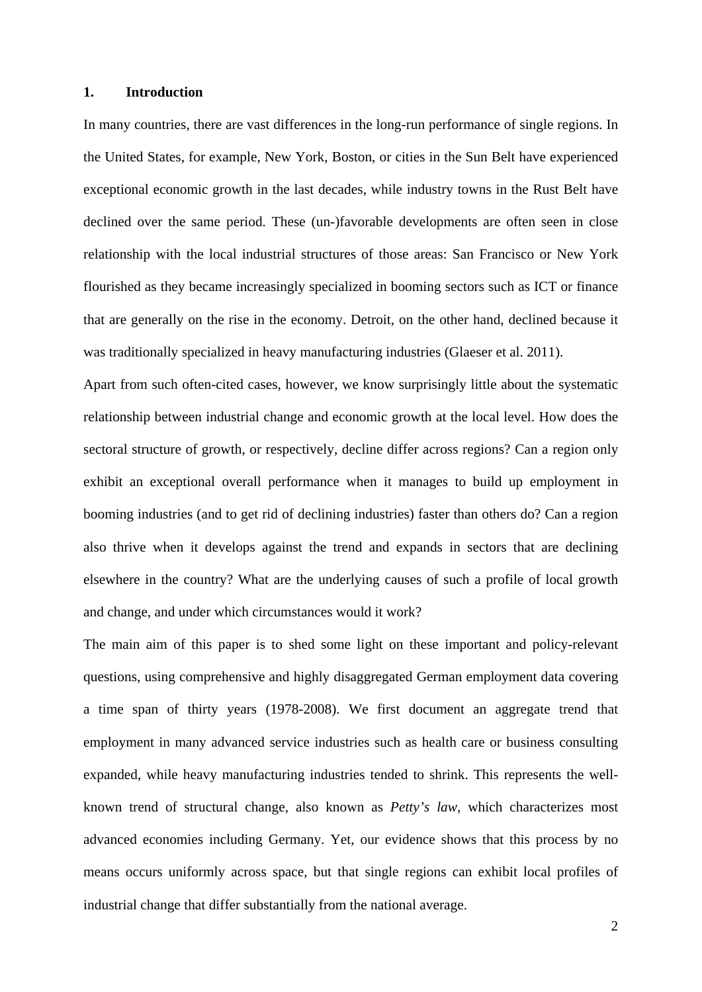#### **1. Introduction**

In many countries, there are vast differences in the long-run performance of single regions. In the United States, for example, New York, Boston, or cities in the Sun Belt have experienced exceptional economic growth in the last decades, while industry towns in the Rust Belt have declined over the same period. These (un-)favorable developments are often seen in close relationship with the local industrial structures of those areas: San Francisco or New York flourished as they became increasingly specialized in booming sectors such as ICT or finance that are generally on the rise in the economy. Detroit, on the other hand, declined because it was traditionally specialized in heavy manufacturing industries (Glaeser et al. 2011).

Apart from such often-cited cases, however, we know surprisingly little about the systematic relationship between industrial change and economic growth at the local level. How does the sectoral structure of growth, or respectively, decline differ across regions? Can a region only exhibit an exceptional overall performance when it manages to build up employment in booming industries (and to get rid of declining industries) faster than others do? Can a region also thrive when it develops against the trend and expands in sectors that are declining elsewhere in the country? What are the underlying causes of such a profile of local growth and change, and under which circumstances would it work?

The main aim of this paper is to shed some light on these important and policy-relevant questions, using comprehensive and highly disaggregated German employment data covering a time span of thirty years (1978-2008). We first document an aggregate trend that employment in many advanced service industries such as health care or business consulting expanded, while heavy manufacturing industries tended to shrink. This represents the wellknown trend of structural change, also known as *Petty's law*, which characterizes most advanced economies including Germany. Yet, our evidence shows that this process by no means occurs uniformly across space, but that single regions can exhibit local profiles of industrial change that differ substantially from the national average.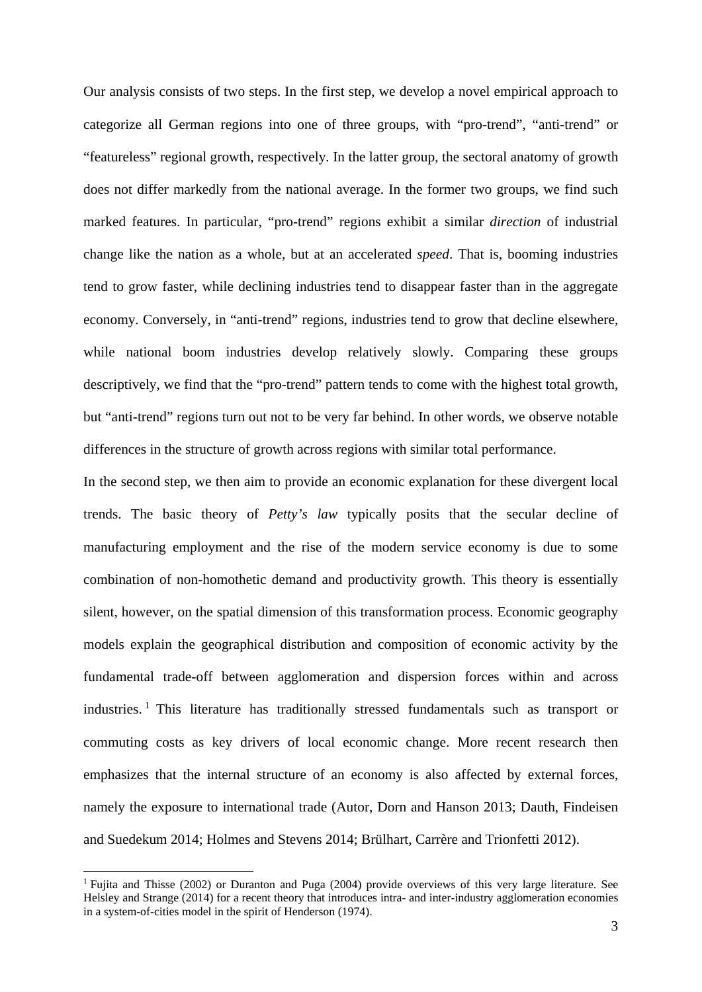Our analysis consists of two steps. In the first step, we develop a novel empirical approach to categorize all German regions into one of three groups, with "pro-trend", "anti-trend" or "featureless" regional growth, respectively. In the latter group, the sectoral anatomy of growth does not differ markedly from the national average. In the former two groups, we find such marked features. In particular, "pro-trend" regions exhibit a similar *direction* of industrial change like the nation as a whole, but at an accelerated *speed*. That is, booming industries tend to grow faster, while declining industries tend to disappear faster than in the aggregate economy. Conversely, in "anti-trend" regions, industries tend to grow that decline elsewhere, while national boom industries develop relatively slowly. Comparing these groups descriptively, we find that the "pro-trend" pattern tends to come with the highest total growth, but "anti-trend" regions turn out not to be very far behind. In other words, we observe notable differences in the structure of growth across regions with similar total performance.

In the second step, we then aim to provide an economic explanation for these divergent local trends. The basic theory of *Petty's law* typically posits that the secular decline of manufacturing employment and the rise of the modern service economy is due to some combination of non-homothetic demand and productivity growth. This theory is essentially silent, however, on the spatial dimension of this transformation process. Economic geography models explain the geographical distribution and composition of economic activity by the fundamental trade-off between agglomeration and dispersion forces within and across industries.<sup>1</sup> This literature has traditionally stressed fundamentals such as transport or commuting costs as key drivers of local economic change. More recent research then emphasizes that the internal structure of an economy is also affected by external forces, namely the exposure to international trade (Autor, Dorn and Hanson 2013; Dauth, Findeisen and Suedekum 2014; Holmes and Stevens 2014; Brülhart, Carrère and Trionfetti 2012).

<sup>&</sup>lt;sup>1</sup> Fujita and Thisse (2002) or Duranton and Puga (2004) provide overviews of this very large literature. See Helsley and Strange (2014) for a recent theory that introduces intra- and inter-industry agglomeration economies in a system-of-cities model in the spirit of Henderson (1974).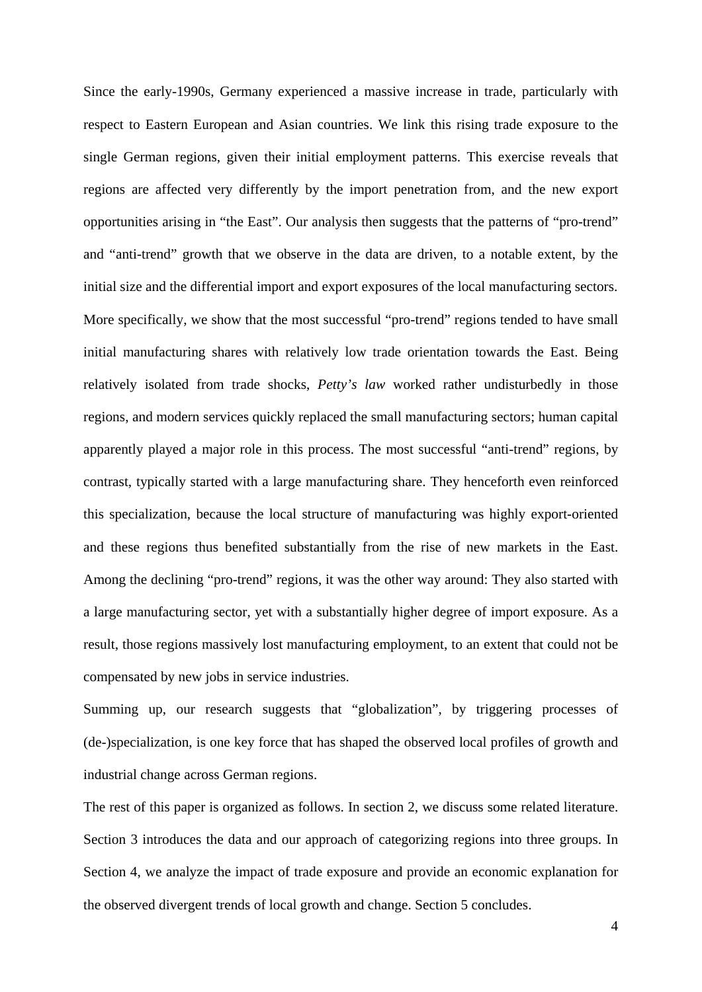Since the early-1990s, Germany experienced a massive increase in trade, particularly with respect to Eastern European and Asian countries. We link this rising trade exposure to the single German regions, given their initial employment patterns. This exercise reveals that regions are affected very differently by the import penetration from, and the new export opportunities arising in "the East". Our analysis then suggests that the patterns of "pro-trend" and "anti-trend" growth that we observe in the data are driven, to a notable extent, by the initial size and the differential import and export exposures of the local manufacturing sectors. More specifically, we show that the most successful "pro-trend" regions tended to have small initial manufacturing shares with relatively low trade orientation towards the East. Being relatively isolated from trade shocks, *Petty's law* worked rather undisturbedly in those regions, and modern services quickly replaced the small manufacturing sectors; human capital apparently played a major role in this process. The most successful "anti-trend" regions, by contrast, typically started with a large manufacturing share. They henceforth even reinforced this specialization, because the local structure of manufacturing was highly export-oriented and these regions thus benefited substantially from the rise of new markets in the East. Among the declining "pro-trend" regions, it was the other way around: They also started with a large manufacturing sector, yet with a substantially higher degree of import exposure. As a result, those regions massively lost manufacturing employment, to an extent that could not be compensated by new jobs in service industries.

Summing up, our research suggests that "globalization", by triggering processes of (de-)specialization, is one key force that has shaped the observed local profiles of growth and industrial change across German regions.

The rest of this paper is organized as follows. In section 2, we discuss some related literature. Section 3 introduces the data and our approach of categorizing regions into three groups. In Section 4, we analyze the impact of trade exposure and provide an economic explanation for the observed divergent trends of local growth and change. Section 5 concludes.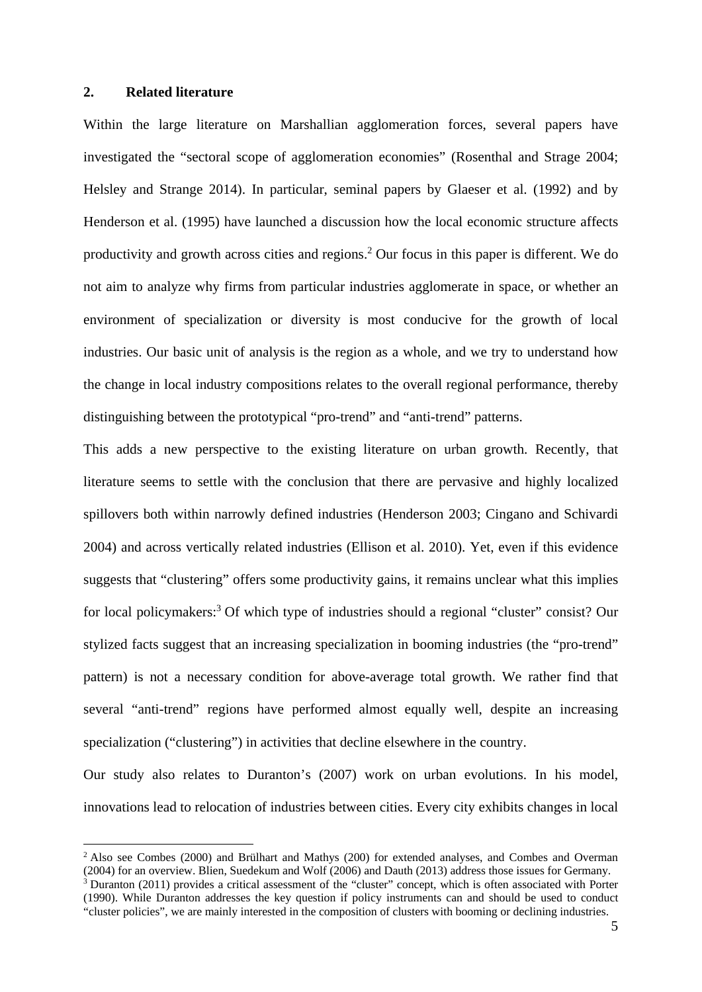#### **2. Related literature**

Within the large literature on Marshallian agglomeration forces, several papers have investigated the "sectoral scope of agglomeration economies" (Rosenthal and Strage 2004; Helsley and Strange 2014). In particular, seminal papers by Glaeser et al. (1992) and by Henderson et al. (1995) have launched a discussion how the local economic structure affects productivity and growth across cities and regions.<sup>2</sup> Our focus in this paper is different. We do not aim to analyze why firms from particular industries agglomerate in space, or whether an environment of specialization or diversity is most conducive for the growth of local industries. Our basic unit of analysis is the region as a whole, and we try to understand how the change in local industry compositions relates to the overall regional performance, thereby distinguishing between the prototypical "pro-trend" and "anti-trend" patterns.

This adds a new perspective to the existing literature on urban growth. Recently, that literature seems to settle with the conclusion that there are pervasive and highly localized spillovers both within narrowly defined industries (Henderson 2003; Cingano and Schivardi 2004) and across vertically related industries (Ellison et al. 2010). Yet, even if this evidence suggests that "clustering" offers some productivity gains, it remains unclear what this implies for local policymakers:<sup>3</sup> Of which type of industries should a regional "cluster" consist? Our stylized facts suggest that an increasing specialization in booming industries (the "pro-trend" pattern) is not a necessary condition for above-average total growth. We rather find that several "anti-trend" regions have performed almost equally well, despite an increasing specialization ("clustering") in activities that decline elsewhere in the country.

Our study also relates to Duranton's (2007) work on urban evolutions. In his model, innovations lead to relocation of industries between cities. Every city exhibits changes in local

<sup>&</sup>lt;sup>2</sup> Also see Combes (2000) and Brülhart and Mathys (200) for extended analyses, and Combes and Overman (2004) for an overview. Blien, Suedekum and Wolf (2006) and Dauth (2013) address those issues for Germany.

<sup>&</sup>lt;sup>3</sup> Duranton (2011) provides a critical assessment of the "cluster" concept, which is often associated with Porter (1990). While Duranton addresses the key question if policy instruments can and should be used to conduct "cluster policies", we are mainly interested in the composition of clusters with booming or declining industries.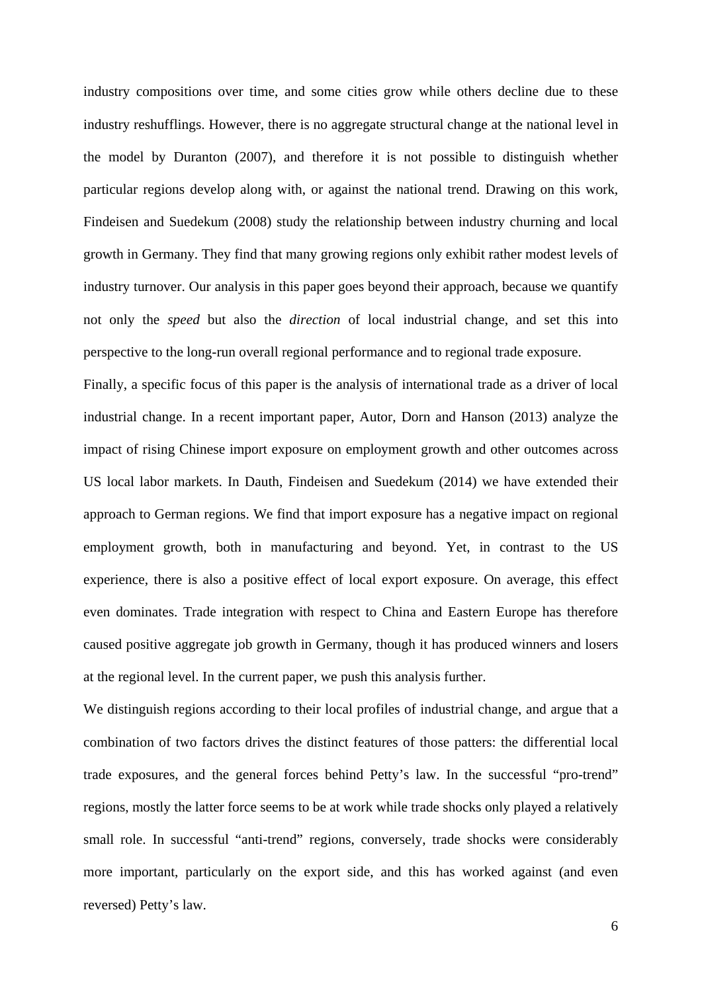industry compositions over time, and some cities grow while others decline due to these industry reshufflings. However, there is no aggregate structural change at the national level in the model by Duranton (2007), and therefore it is not possible to distinguish whether particular regions develop along with, or against the national trend. Drawing on this work, Findeisen and Suedekum (2008) study the relationship between industry churning and local growth in Germany. They find that many growing regions only exhibit rather modest levels of industry turnover. Our analysis in this paper goes beyond their approach, because we quantify not only the *speed* but also the *direction* of local industrial change, and set this into perspective to the long-run overall regional performance and to regional trade exposure.

Finally, a specific focus of this paper is the analysis of international trade as a driver of local industrial change. In a recent important paper, Autor, Dorn and Hanson (2013) analyze the impact of rising Chinese import exposure on employment growth and other outcomes across US local labor markets. In Dauth, Findeisen and Suedekum (2014) we have extended their approach to German regions. We find that import exposure has a negative impact on regional employment growth, both in manufacturing and beyond. Yet, in contrast to the US experience, there is also a positive effect of local export exposure. On average, this effect even dominates. Trade integration with respect to China and Eastern Europe has therefore caused positive aggregate job growth in Germany, though it has produced winners and losers at the regional level. In the current paper, we push this analysis further.

We distinguish regions according to their local profiles of industrial change, and argue that a combination of two factors drives the distinct features of those patters: the differential local trade exposures, and the general forces behind Petty's law. In the successful "pro-trend" regions, mostly the latter force seems to be at work while trade shocks only played a relatively small role. In successful "anti-trend" regions, conversely, trade shocks were considerably more important, particularly on the export side, and this has worked against (and even reversed) Petty's law.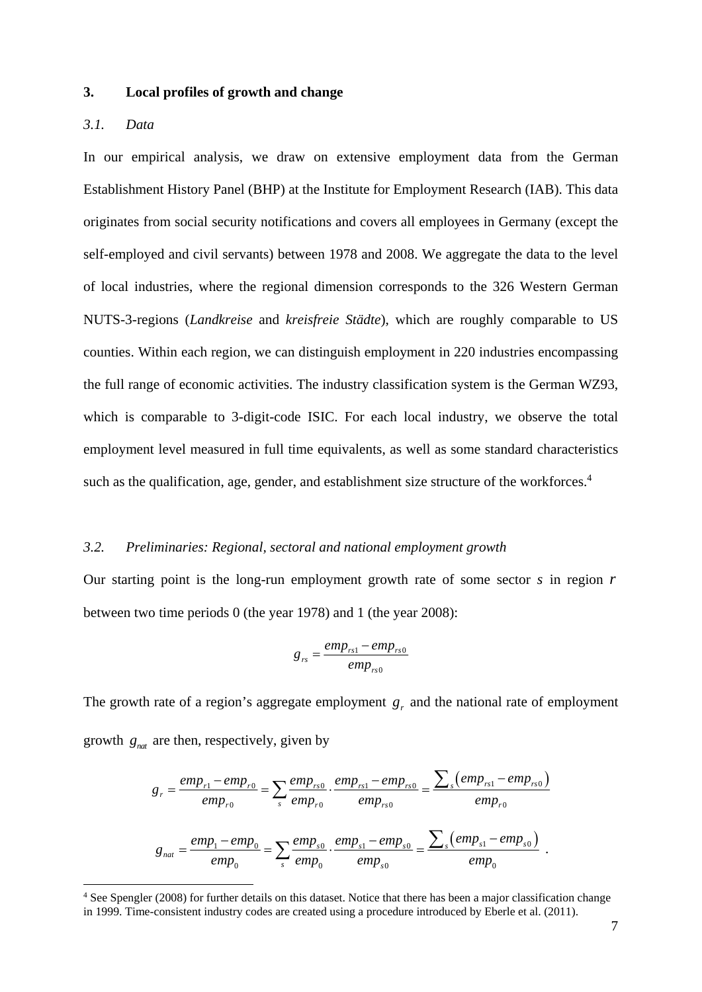#### **3. Local profiles of growth and change**

#### *3.1. Data*

In our empirical analysis, we draw on extensive employment data from the German Establishment History Panel (BHP) at the Institute for Employment Research (IAB). This data originates from social security notifications and covers all employees in Germany (except the self-employed and civil servants) between 1978 and 2008. We aggregate the data to the level of local industries, where the regional dimension corresponds to the 326 Western German NUTS-3-regions (*Landkreise* and *kreisfreie Städte*), which are roughly comparable to US counties. Within each region, we can distinguish employment in 220 industries encompassing the full range of economic activities. The industry classification system is the German WZ93, which is comparable to 3-digit-code ISIC. For each local industry, we observe the total employment level measured in full time equivalents, as well as some standard characteristics such as the qualification, age, gender, and establishment size structure of the workforces.<sup>4</sup>

#### *3.2. Preliminaries: Regional, sectoral and national employment growth*

Our starting point is the long-run employment growth rate of some sector *s* in region *r* between two time periods 0 (the year 1978) and 1 (the year 2008):

$$
g_{rs}=\frac{emp_{rs1}-emp_{rs0}}{emp_{rs0}}
$$

The growth rate of a region's aggregate employment  $g_r$  and the national rate of employment growth  $g_{\text{nat}}$  are then, respectively, given by

$$
g_r = \frac{emp_{r1} - emp_{r0}}{emp_{r0}} = \sum_{s} \frac{emp_{rs0}}{emp_{r0}} \cdot \frac{emp_{rs1} - emp_{rs0}}{emp_{rs0}} = \frac{\sum_{s} (emp_{rs1} - emp_{rs0})}{emp_{r0}}
$$

$$
g_{nat} = \frac{emp_1 - emp_0}{emp_0} = \sum_{s} \frac{emp_{s0}}{emp_0} \cdot \frac{emp_{s1} - emp_{s0}}{emp_{s0}} = \frac{\sum_{s} (emp_{s1} - emp_{s0})}{emp_0}.
$$

<sup>&</sup>lt;sup>4</sup> See Spengler (2008) for further details on this dataset. Notice that there has been a major classification change in 1999. Time-consistent industry codes are created using a procedure introduced by Eberle et al. (2011).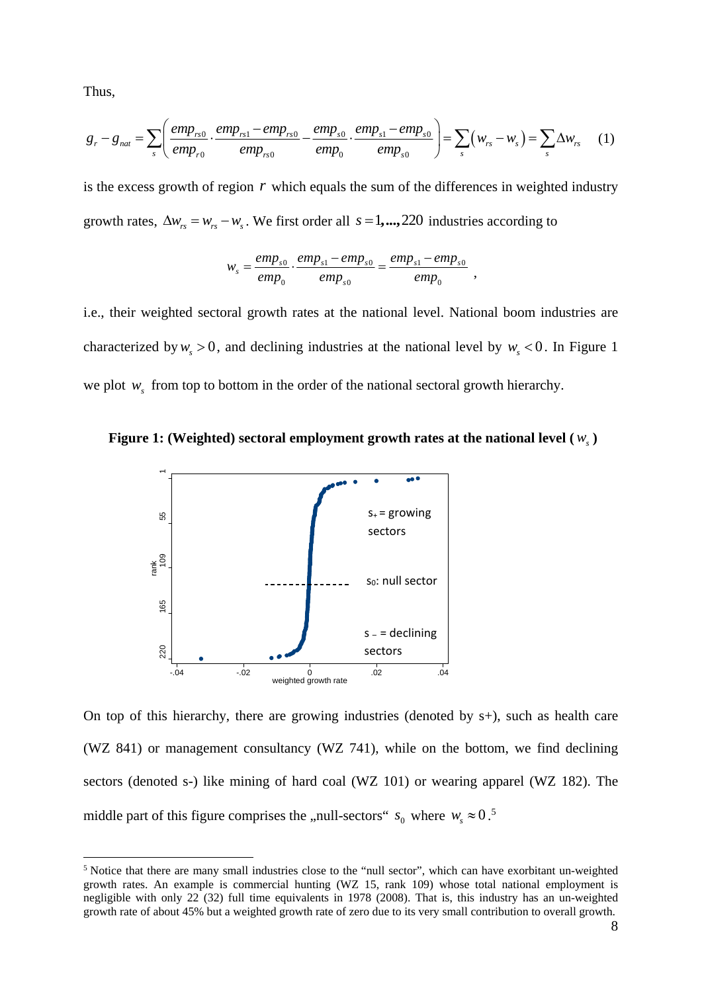Thus,

$$
g_r - g_{nat} = \sum_{s} \left( \frac{emp_{rs0}}{emp_{r0}} \cdot \frac{emp_{rs1} - emp_{rs0}}{emp_{rs0}} - \frac{emp_{s0}}{emp_{0}} \cdot \frac{emp_{s1} - emp_{s0}}{emp_{s0}} \right) = \sum_{s} (w_{rs} - w_s) = \sum_{s} \Delta w_{rs}
$$
 (1)

is the excess growth of region *r* which equals the sum of the differences in weighted industry growth rates,  $\Delta w_{rs} = w_{rs} - w_s$ . We first order all  $s = 1, \dots, 220$  industries according to

$$
w_s = \frac{emp_{s0}}{emp_0} \cdot \frac{emp_{s1} - emp_{s0}}{emp_{s0}} = \frac{emp_{s1} - emp_{s0}}{emp_0} ,
$$

i.e., their weighted sectoral growth rates at the national level. National boom industries are characterized by  $w_s > 0$ , and declining industries at the national level by  $w_s < 0$ . In Figure 1 we plot  $w_s$  from top to bottom in the order of the national sectoral growth hierarchy.





On top of this hierarchy, there are growing industries (denoted by s+), such as health care (WZ 841) or management consultancy (WZ 741), while on the bottom, we find declining sectors (denoted s-) like mining of hard coal (WZ 101) or wearing apparel (WZ 182). The middle part of this figure comprises the "null-sectors"  $s_0$  where  $w_s \approx 0.5$ 

<sup>&</sup>lt;sup>5</sup> Notice that there are many small industries close to the "null sector", which can have exorbitant un-weighted growth rates. An example is commercial hunting (WZ 15, rank 109) whose total national employment is negligible with only 22 (32) full time equivalents in 1978 (2008). That is, this industry has an un-weighted growth rate of about 45% but a weighted growth rate of zero due to its very small contribution to overall growth.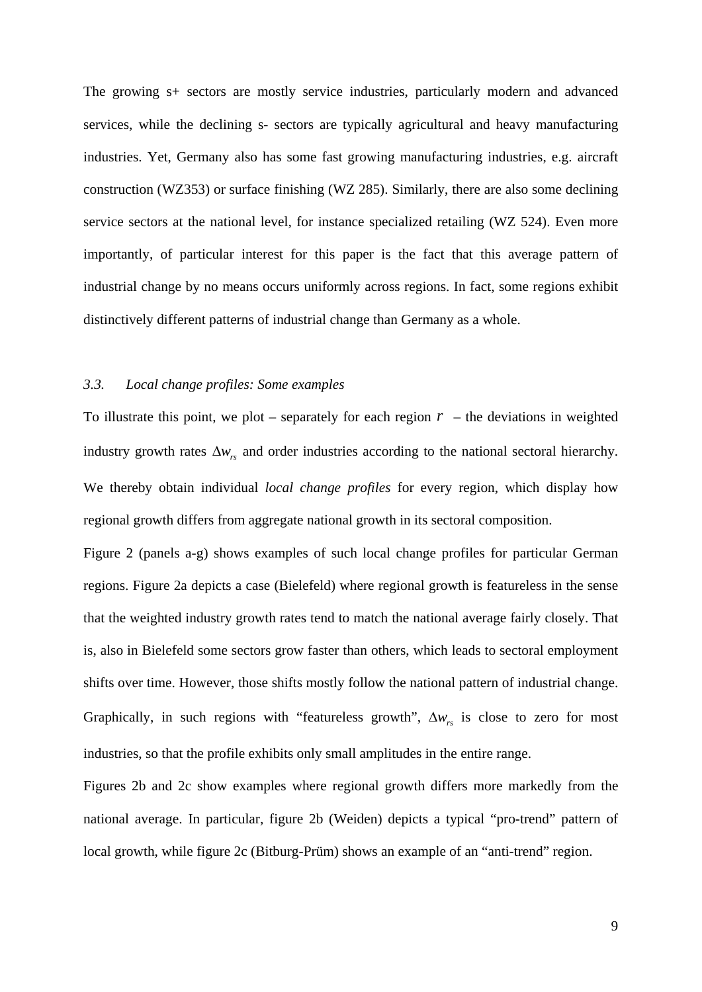The growing s+ sectors are mostly service industries, particularly modern and advanced services, while the declining s- sectors are typically agricultural and heavy manufacturing industries. Yet, Germany also has some fast growing manufacturing industries, e.g. aircraft construction (WZ353) or surface finishing (WZ 285). Similarly, there are also some declining service sectors at the national level, for instance specialized retailing (WZ 524). Even more importantly, of particular interest for this paper is the fact that this average pattern of industrial change by no means occurs uniformly across regions. In fact, some regions exhibit distinctively different patterns of industrial change than Germany as a whole.

#### *3.3. Local change profiles: Some examples*

To illustrate this point, we plot – separately for each region  $r$  – the deviations in weighted industry growth rates  $\Delta w_{rs}$  and order industries according to the national sectoral hierarchy. We thereby obtain individual *local change profiles* for every region, which display how regional growth differs from aggregate national growth in its sectoral composition.

Figure 2 (panels a-g) shows examples of such local change profiles for particular German regions. Figure 2a depicts a case (Bielefeld) where regional growth is featureless in the sense that the weighted industry growth rates tend to match the national average fairly closely. That is, also in Bielefeld some sectors grow faster than others, which leads to sectoral employment shifts over time. However, those shifts mostly follow the national pattern of industrial change. Graphically, in such regions with "featureless growth",  $\Delta w_{rs}$  is close to zero for most industries, so that the profile exhibits only small amplitudes in the entire range.

Figures 2b and 2c show examples where regional growth differs more markedly from the national average. In particular, figure 2b (Weiden) depicts a typical "pro-trend" pattern of local growth, while figure 2c (Bitburg-Prüm) shows an example of an "anti-trend" region.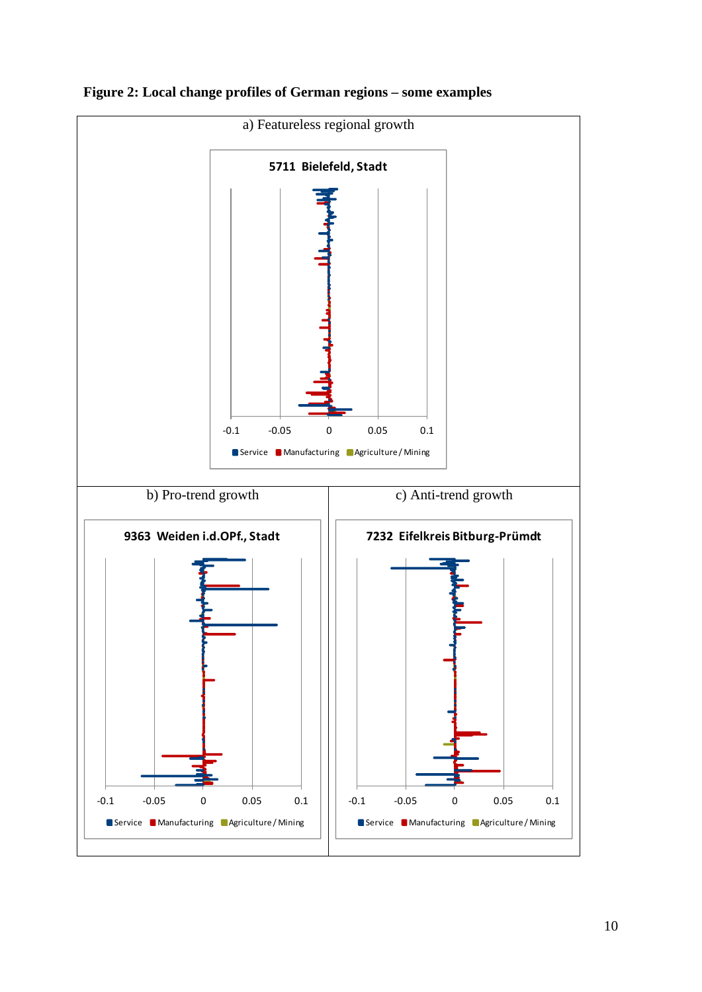

**Figure 2: Local change profiles of German regions – some examples**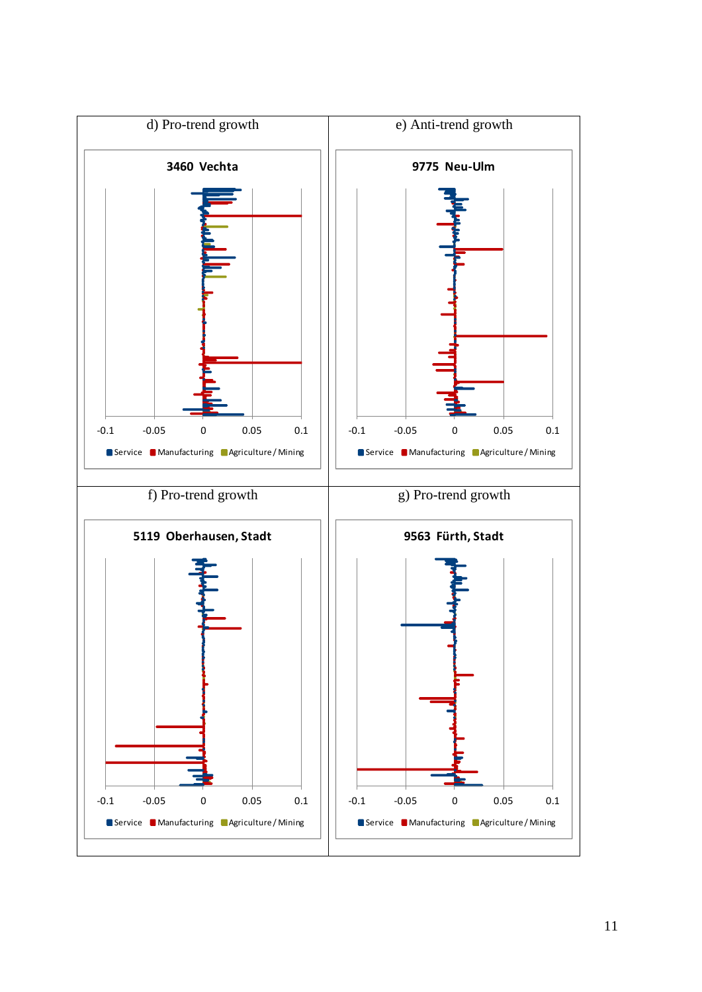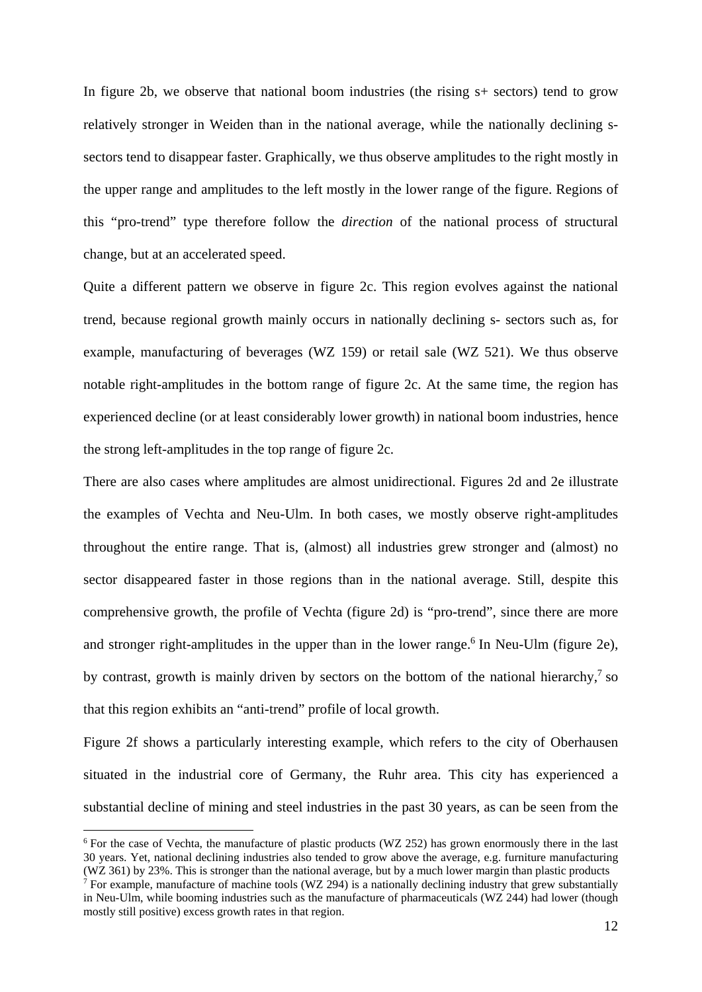In figure 2b, we observe that national boom industries (the rising s+ sectors) tend to grow relatively stronger in Weiden than in the national average, while the nationally declining ssectors tend to disappear faster. Graphically, we thus observe amplitudes to the right mostly in the upper range and amplitudes to the left mostly in the lower range of the figure. Regions of this "pro-trend" type therefore follow the *direction* of the national process of structural change, but at an accelerated speed.

Quite a different pattern we observe in figure 2c. This region evolves against the national trend, because regional growth mainly occurs in nationally declining s- sectors such as, for example, manufacturing of beverages (WZ 159) or retail sale (WZ 521). We thus observe notable right-amplitudes in the bottom range of figure 2c. At the same time, the region has experienced decline (or at least considerably lower growth) in national boom industries, hence the strong left-amplitudes in the top range of figure 2c.

There are also cases where amplitudes are almost unidirectional. Figures 2d and 2e illustrate the examples of Vechta and Neu-Ulm. In both cases, we mostly observe right-amplitudes throughout the entire range. That is, (almost) all industries grew stronger and (almost) no sector disappeared faster in those regions than in the national average. Still, despite this comprehensive growth, the profile of Vechta (figure 2d) is "pro-trend", since there are more and stronger right-amplitudes in the upper than in the lower range.<sup>6</sup> In Neu-Ulm (figure 2e), by contrast, growth is mainly driven by sectors on the bottom of the national hierarchy, $7$  so that this region exhibits an "anti-trend" profile of local growth.

Figure 2f shows a particularly interesting example, which refers to the city of Oberhausen situated in the industrial core of Germany, the Ruhr area. This city has experienced a substantial decline of mining and steel industries in the past 30 years, as can be seen from the

<sup>&</sup>lt;sup>6</sup> For the case of Vechta, the manufacture of plastic products (WZ 252) has grown enormously there in the last 30 years. Yet, national declining industries also tended to grow above the average, e.g. furniture manufacturing (WZ 361) by 23%. This is stronger than the national average, but by a much lower margin than plastic products

<sup>&</sup>lt;sup>7</sup> For example, manufacture of machine tools (WZ 294) is a nationally declining industry that grew substantially in Neu-Ulm, while booming industries such as the manufacture of pharmaceuticals (WZ 244) had lower (though mostly still positive) excess growth rates in that region.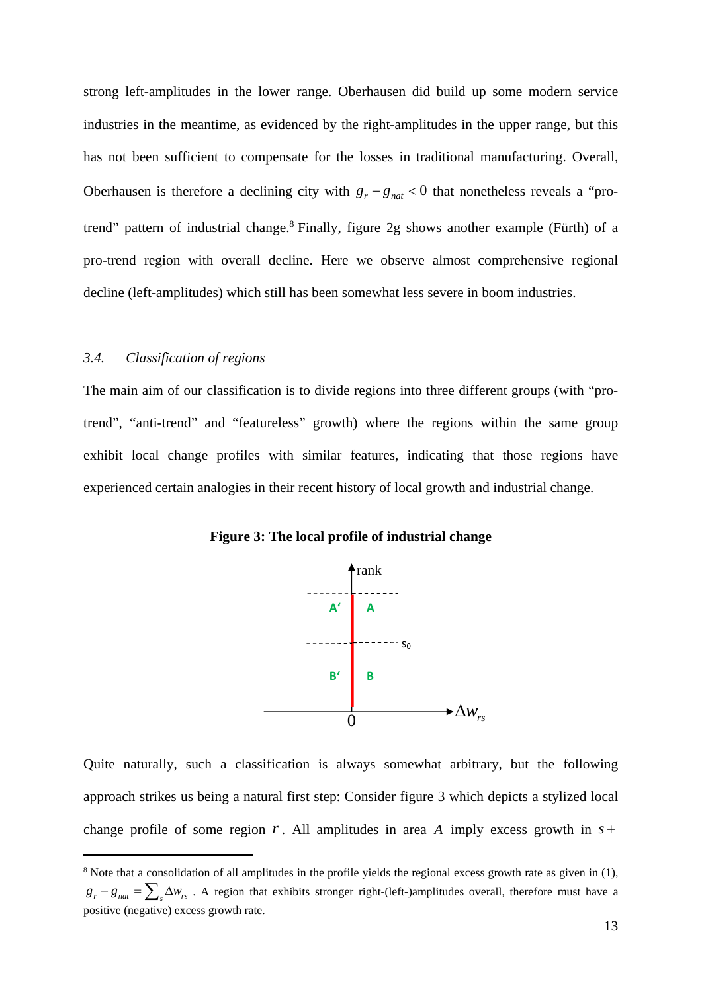strong left-amplitudes in the lower range. Oberhausen did build up some modern service industries in the meantime, as evidenced by the right-amplitudes in the upper range, but this has not been sufficient to compensate for the losses in traditional manufacturing. Overall, Oberhausen is therefore a declining city with  $g_r - g_{nat} < 0$  that nonetheless reveals a "protrend" pattern of industrial change. $8$  Finally, figure 2g shows another example (Fürth) of a pro-trend region with overall decline. Here we observe almost comprehensive regional decline (left-amplitudes) which still has been somewhat less severe in boom industries.

#### *3.4. Classification of regions*

The main aim of our classification is to divide regions into three different groups (with "protrend", "anti-trend" and "featureless" growth) where the regions within the same group exhibit local change profiles with similar features, indicating that those regions have experienced certain analogies in their recent history of local growth and industrial change.



**Figure 3: The local profile of industrial change** 

Quite naturally, such a classification is always somewhat arbitrary, but the following approach strikes us being a natural first step: Consider figure 3 which depicts a stylized local change profile of some region  $r$ . All amplitudes in area  $A$  imply excess growth in  $s$ +

<sup>&</sup>lt;sup>8</sup> Note that a consolidation of all amplitudes in the profile yields the regional excess growth rate as given in (1),  $g_r - g_{nat} = \sum_s \Delta w_{rs}$ . A region that exhibits stronger right-(left-)amplitudes overall, therefore must have a positive (negative) excess growth rate.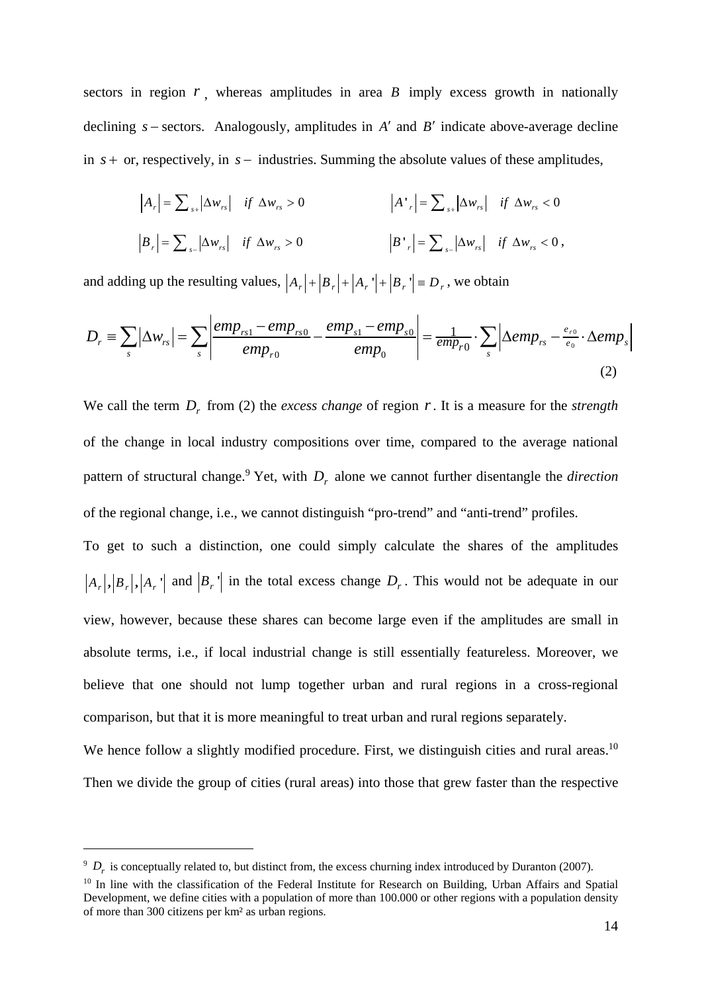sectors in region  $r_$ , whereas amplitudes in area  $B$  imply excess growth in nationally declining  $s$  – sectors. Analogously, amplitudes in  $A'$  and  $B'$  indicate above-average decline in  $s +$  or, respectively, in  $s -$  industries. Summing the absolute values of these amplitudes,

$$
\begin{aligned}\n\left| A_r \right| &= \sum_{s+} \left| \Delta w_{rs} \right| & \text{if } \Delta w_{rs} > 0 \\
\left| A \right|_{r} &= \sum_{s+} \left| \Delta w_{rs} \right| & \text{if } \Delta w_{rs} < 0 \\
\left| B \right|_{r} &= \sum_{s-} \left| \Delta w_{rs} \right| & \text{if } \Delta w_{rs} < 0 \\
\left| B \right|_{r} &= \sum_{s-} \left| \Delta w_{rs} \right| & \text{if } \Delta w_{rs} < 0\n\end{aligned}
$$

and adding up the resulting values,  $|A_r| + |B_r| + |A_r| + |B_r| = D_r$ , we obtain

$$
D_r \equiv \sum_s |\Delta w_{rs}| = \sum_s \left| \frac{emp_{rs1} - emp_{rs0}}{emp_{r0}} - \frac{emp_{s1} - emp_{s0}}{emp_0} \right| = \frac{1}{emp_{r0}} \cdot \sum_s \left| \Delta emp_{rs} - \frac{e_{r0}}{e_0} \cdot \Delta emp_s \right| \tag{2}
$$

We call the term  $D<sub>r</sub>$  from (2) the *excess change* of region *r*. It is a measure for the *strength* of the change in local industry compositions over time, compared to the average national pattern of structural change.<sup>9</sup> Yet, with  $D<sub>r</sub>$  alone we cannot further disentangle the *direction* of the regional change, i.e., we cannot distinguish "pro-trend" and "anti-trend" profiles.

To get to such a distinction, one could simply calculate the shares of the amplitudes  $|A_r|, |B_r|, |A_r|$  and  $|B_r|$  in the total excess change  $D_r$ . This would not be adequate in our view, however, because these shares can become large even if the amplitudes are small in absolute terms, i.e., if local industrial change is still essentially featureless. Moreover, we believe that one should not lump together urban and rural regions in a cross-regional comparison, but that it is more meaningful to treat urban and rural regions separately.

We hence follow a slightly modified procedure. First, we distinguish cities and rural areas.<sup>10</sup> Then we divide the group of cities (rural areas) into those that grew faster than the respective

 $9D<sub>r</sub>$  is conceptually related to, but distinct from, the excess churning index introduced by Duranton (2007).

<sup>&</sup>lt;sup>10</sup> In line with the classification of the Federal Institute for Research on Building, Urban Affairs and Spatial Development, we define cities with a population of more than 100.000 or other regions with a population density of more than 300 citizens per km² as urban regions.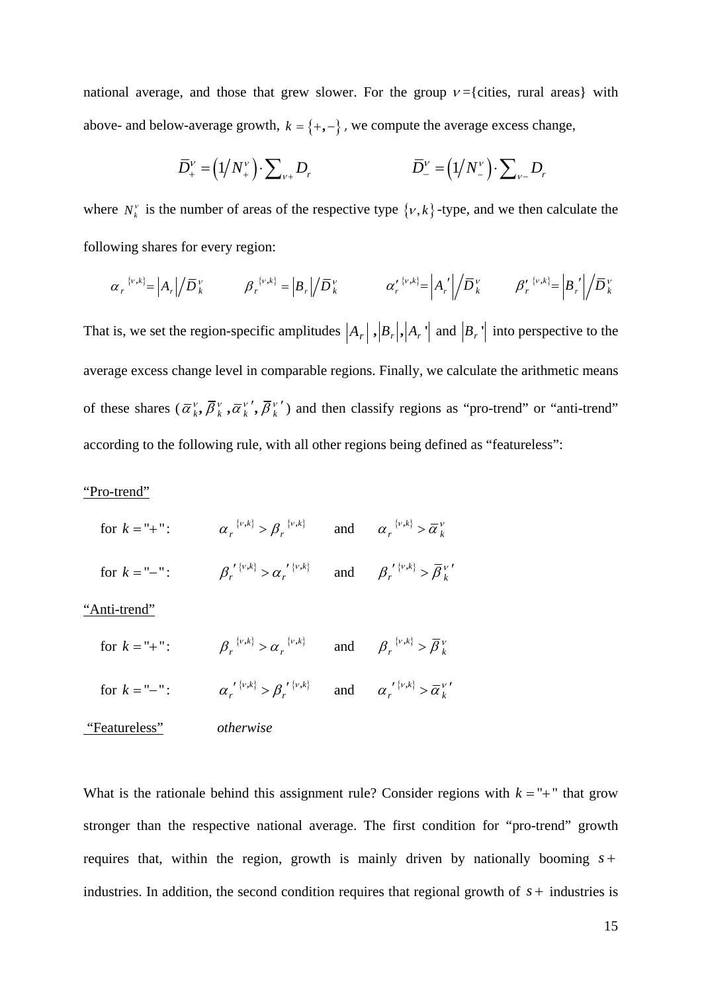national average, and those that grew slower. For the group  $v = \{cities, rural areas\}$  with above- and below-average growth,  $k = \{+, -\}$ , we compute the average excess change,

$$
\overline{D}^{\nu}_{+} = (1/N^{\nu}_{+}) \cdot \sum_{\nu_{+}} D_{r} \qquad \qquad \overline{D}^{\nu}_{-} = (1/N^{\nu}_{-}) \cdot \sum_{\nu_{-}} D_{r}
$$

where  $N_k^v$  is the number of areas of the respective type  $\{v, k\}$ -type, and we then calculate the following shares for every region:

$$
\alpha_r^{(v,k)} = |A_r| / \overline{D}_k^v \qquad \beta_r^{(v,k)} = |B_r| / \overline{D}_k^v \qquad \alpha_r'^{(v,k)} = |A_r'| / \overline{D}_k^v \qquad \beta_r'^{(v,k)} = |B_r'| / \overline{D}_k^v
$$

That is, we set the region-specific amplitudes  $\left|A_r\right|$ ,  $\left|B_r\right|$ ,  $\left|A_r\right|$  and  $\left|B_r\right|$  into perspective to the average excess change level in comparable regions. Finally, we calculate the arithmetic means of these shares  $(\bar{\alpha}_k^v, \bar{\beta}_k^v, \bar{\alpha}_k^v', \bar{\beta}_k^v')$  and then classify regions as "pro-trend" or "anti-trend" according to the following rule, with all other regions being defined as "featureless":

#### "Pro-trend"

| for $k =$ "+": | $\alpha_r^{\{\nu,k\}} > \beta_r^{\{\nu,k\}}$   | and $\alpha_r^{\{\nu,k\}} > \overline{\alpha}_k^{\nu}$ |
|----------------|------------------------------------------------|--------------------------------------------------------|
| for $k = "-":$ | $\beta_r^{l' \{v,k\}} > \alpha_r^{l' \{v,k\}}$ | and $\beta_r'^{\{v,k\}} > \overline{\beta}_k^{\,v'}$   |

"Anti-trend"

| for $k =$ "+": | $\beta_r^{ \ \{\nu,k\}} > \alpha_r^{ \ \{\nu,k\}}$                                          | and $\beta_r^{\{\nu,k\}} > \overline{\beta}_k^{\nu}$ |
|----------------|---------------------------------------------------------------------------------------------|------------------------------------------------------|
| for $k = "-":$ | $\alpha_r'^{\{v,k\}} > \beta_r'^{\{v,k\}}$ and $\alpha_r'^{\{v,k\}} > \overline{\alpha}_k'$ |                                                      |

"Featureless" *otherwise*

What is the rationale behind this assignment rule? Consider regions with  $k =$  "+" that grow stronger than the respective national average. The first condition for "pro-trend" growth requires that, within the region, growth is mainly driven by nationally booming  $s +$ industries. In addition, the second condition requires that regional growth of  $s +$  industries is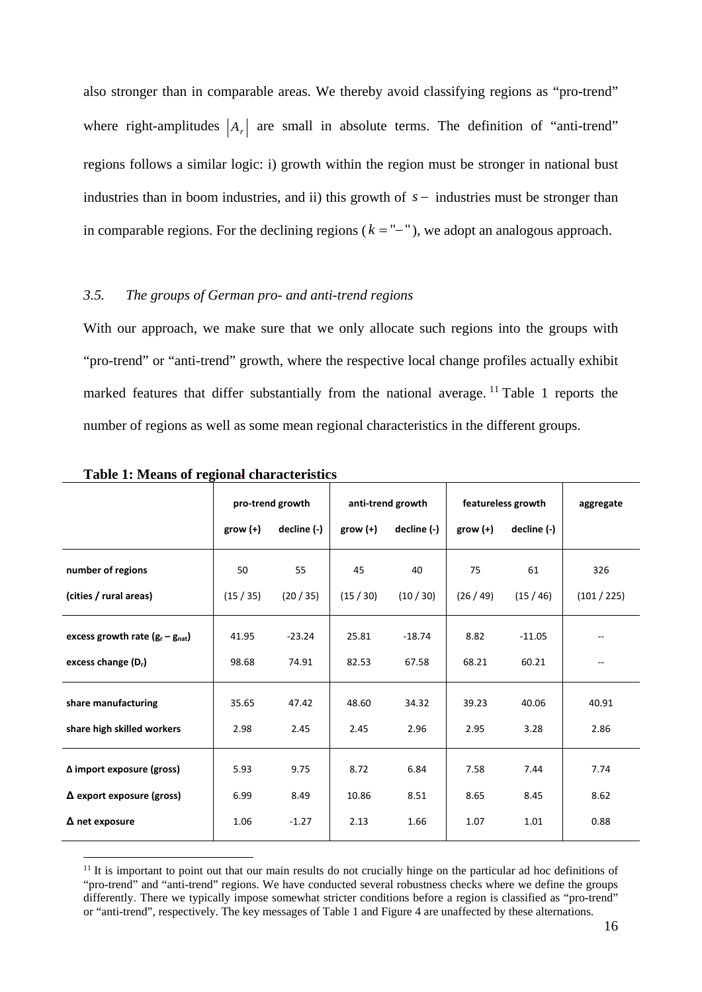also stronger than in comparable areas. We thereby avoid classifying regions as "pro-trend" where right-amplitudes  $|A_r|$  are small in absolute terms. The definition of "anti-trend" regions follows a similar logic: i) growth within the region must be stronger in national bust industries than in boom industries, and ii) this growth of  $s$  – industries must be stronger than in comparable regions. For the declining regions ( $k =$ "-"), we adopt an analogous approach.

#### *3.5. The groups of German pro- and anti-trend regions*

With our approach, we make sure that we only allocate such regions into the groups with "pro-trend" or "anti-trend" growth, where the respective local change profiles actually exhibit marked features that differ substantially from the national average.  $^{11}$  Table 1 reports the number of regions as well as some mean regional characteristics in the different groups.

|                                      | pro-trend growth |             | anti-trend growth |             | featureless growth |             | aggregate   |
|--------------------------------------|------------------|-------------|-------------------|-------------|--------------------|-------------|-------------|
|                                      | $grow (+)$       | decline (-) | grow $(+)$        | decline (-) | grow $(+)$         | decline (-) |             |
| number of regions                    | 50               | 55          | 45                | 40          | 75                 | 61          | 326         |
| (cities / rural areas)               | (15 / 35)        | (20/35)     | (15/30)           | (10/30)     | (26/49)            | (15/46)     | (101 / 225) |
| excess growth rate $(g_r - g_{nat})$ | 41.95            | $-23.24$    | 25.81             | $-18.74$    | 8.82               | $-11.05$    |             |
| excess change (D <sub>r</sub> )      | 98.68            | 74.91       | 82.53             | 67.58       | 68.21              | 60.21       |             |
| share manufacturing                  | 35.65            | 47.42       | 48.60             | 34.32       | 39.23              | 40.06       | 40.91       |
| share high skilled workers           | 2.98             | 2.45        | 2.45              | 2.96        | 2.95               | 3.28        | 2.86        |
| Δ import exposure (gross)            | 5.93             | 9.75        | 8.72              | 6.84        | 7.58               | 7.44        | 7.74        |
| $\Delta$ export exposure (gross)     | 6.99             | 8.49        | 10.86             | 8.51        | 8.65               | 8.45        | 8.62        |
| $\Delta$ net exposure                | 1.06             | $-1.27$     | 2.13              | 1.66        | 1.07               | 1.01        | 0.88        |

**Table 1: Means of regional characteristics** 

 $11$  It is important to point out that our main results do not crucially hinge on the particular ad hoc definitions of "pro-trend" and "anti-trend" regions. We have conducted several robustness checks where we define the groups differently. There we typically impose somewhat stricter conditions before a region is classified as "pro-trend" or "anti-trend", respectively. The key messages of Table 1 and Figure 4 are unaffected by these alternations.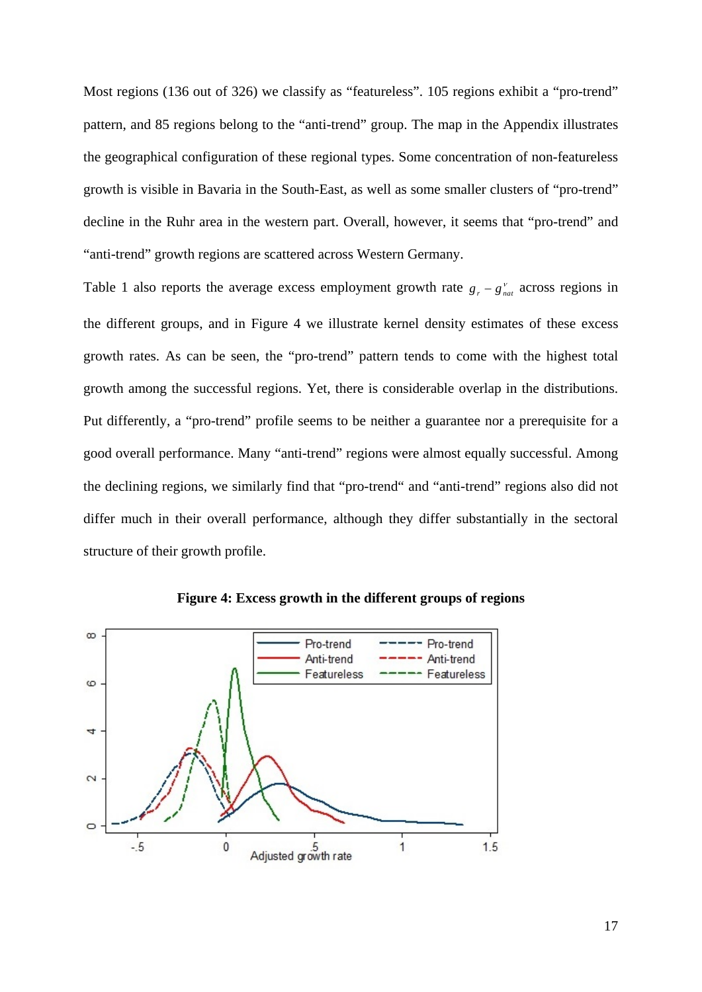Most regions (136 out of 326) we classify as "featureless". 105 regions exhibit a "pro-trend" pattern, and 85 regions belong to the "anti-trend" group. The map in the Appendix illustrates the geographical configuration of these regional types. Some concentration of non-featureless growth is visible in Bavaria in the South-East, as well as some smaller clusters of "pro-trend" decline in the Ruhr area in the western part. Overall, however, it seems that "pro-trend" and "anti-trend" growth regions are scattered across Western Germany.

Table 1 also reports the average excess employment growth rate  $g_r - g_{nat}^{\nu}$  across regions in the different groups, and in Figure 4 we illustrate kernel density estimates of these excess growth rates. As can be seen, the "pro-trend" pattern tends to come with the highest total growth among the successful regions. Yet, there is considerable overlap in the distributions. Put differently, a "pro-trend" profile seems to be neither a guarantee nor a prerequisite for a good overall performance. Many "anti-trend" regions were almost equally successful. Among the declining regions, we similarly find that "pro-trend" and "anti-trend" regions also did not differ much in their overall performance, although they differ substantially in the sectoral structure of their growth profile.



**Figure 4: Excess growth in the different groups of regions**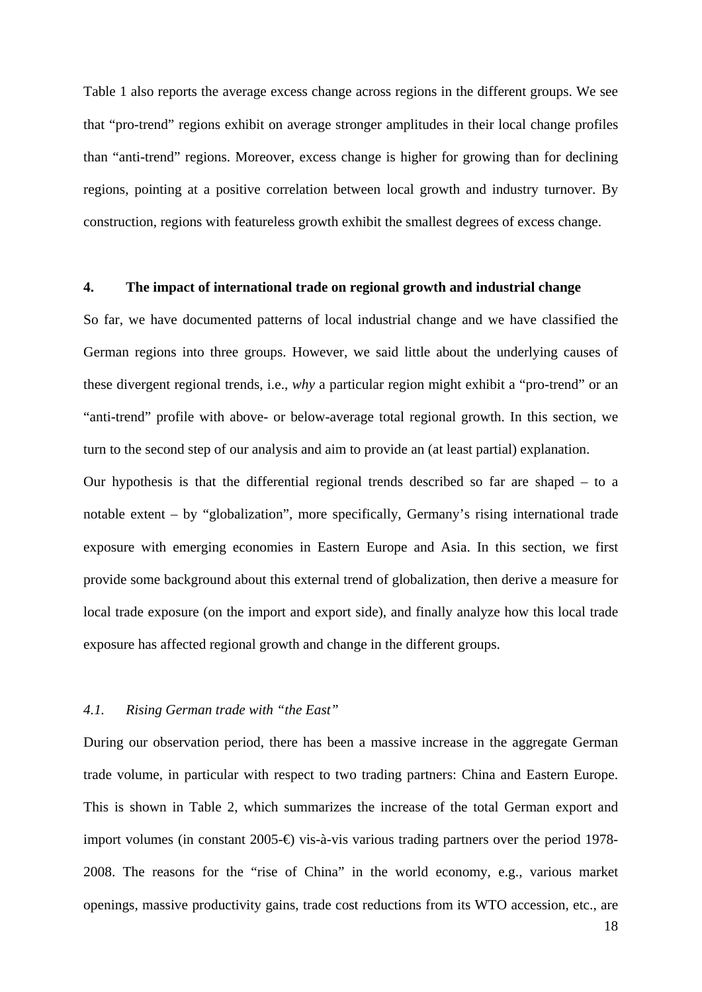Table 1 also reports the average excess change across regions in the different groups. We see that "pro-trend" regions exhibit on average stronger amplitudes in their local change profiles than "anti-trend" regions. Moreover, excess change is higher for growing than for declining regions, pointing at a positive correlation between local growth and industry turnover. By construction, regions with featureless growth exhibit the smallest degrees of excess change.

#### **4. The impact of international trade on regional growth and industrial change**

So far, we have documented patterns of local industrial change and we have classified the German regions into three groups. However, we said little about the underlying causes of these divergent regional trends, i.e., *why* a particular region might exhibit a "pro-trend" or an "anti-trend" profile with above- or below-average total regional growth. In this section, we turn to the second step of our analysis and aim to provide an (at least partial) explanation.

Our hypothesis is that the differential regional trends described so far are shaped – to a notable extent – by "globalization", more specifically, Germany's rising international trade exposure with emerging economies in Eastern Europe and Asia. In this section, we first provide some background about this external trend of globalization, then derive a measure for local trade exposure (on the import and export side), and finally analyze how this local trade exposure has affected regional growth and change in the different groups.

#### *4.1. Rising German trade with "the East"*

During our observation period, there has been a massive increase in the aggregate German trade volume, in particular with respect to two trading partners: China and Eastern Europe. This is shown in Table 2, which summarizes the increase of the total German export and import volumes (in constant 2005-€) vis-à-vis various trading partners over the period 1978- 2008. The reasons for the "rise of China" in the world economy, e.g., various market openings, massive productivity gains, trade cost reductions from its WTO accession, etc., are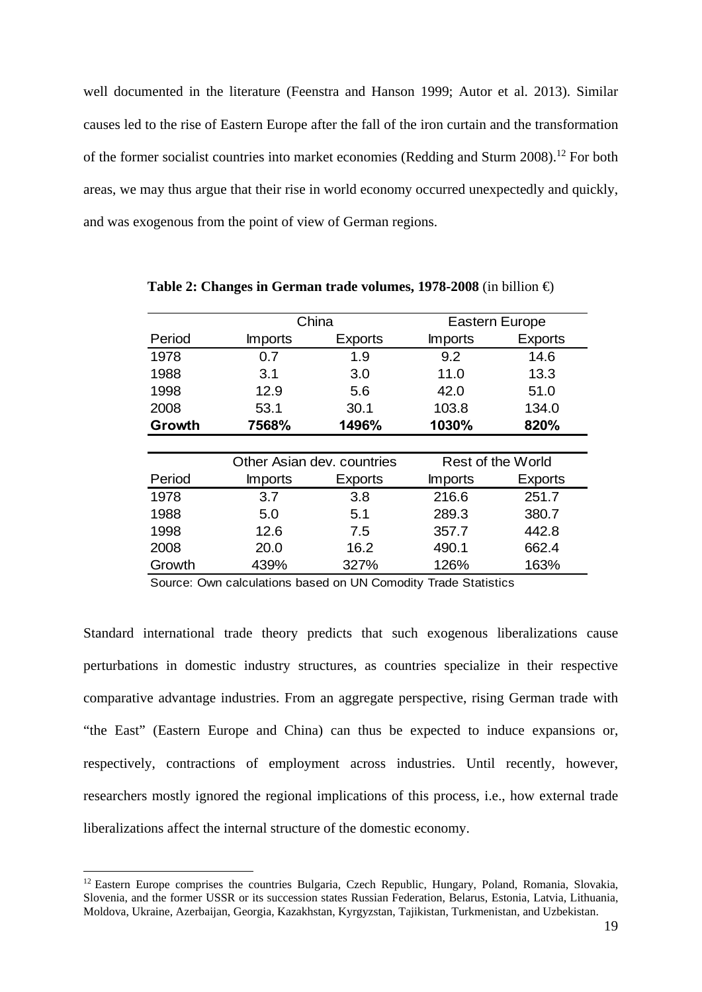well documented in the literature (Feenstra and Hanson 1999; Autor et al. 2013). Similar causes led to the rise of Eastern Europe after the fall of the iron curtain and the transformation of the former socialist countries into market economies (Redding and Sturm 2008).12 For both areas, we may thus argue that their rise in world economy occurred unexpectedly and quickly, and was exogenous from the point of view of German regions.

|        |                | China                      | <b>Eastern Europe</b> |                   |
|--------|----------------|----------------------------|-----------------------|-------------------|
| Period | <b>Imports</b> | <b>Exports</b>             | <b>Imports</b>        | <b>Exports</b>    |
| 1978   | 0.7            | 1.9                        | 9.2                   | 14.6              |
| 1988   | 3.1            | 3.0                        | 11.0                  | 13.3              |
| 1998   | 12.9           | 5.6                        | 42.0                  | 51.0              |
| 2008   | 53.1           | 30.1                       | 103.8                 | 134.0             |
| Growth | 7568%          | 1496%                      | 1030%                 | 820%              |
|        |                |                            |                       |                   |
|        |                | Other Asian dev. countries |                       | Rest of the World |
| Period | <b>Imports</b> | <b>Exports</b>             | <b>Imports</b>        | <b>Exports</b>    |
| 1978   | 3.7            | 3.8                        | 216.6                 | 251.7             |
| 1988   | 5.0            | 5.1                        | 289.3                 | 380.7             |
| 1998   | 12.6           | 7.5                        | 357.7                 | 442.8             |
| 2008   | 20.0           | 16.2                       | 490.1                 | 662.4             |
| Growth | 439%           | 327%                       | 126%                  | 163%              |

**Table 2: Changes in German trade volumes, 1978-2008** (in billion €)

Source: Own calculations based on UN Comodity Trade Statistics

Standard international trade theory predicts that such exogenous liberalizations cause perturbations in domestic industry structures, as countries specialize in their respective comparative advantage industries. From an aggregate perspective, rising German trade with "the East" (Eastern Europe and China) can thus be expected to induce expansions or, respectively, contractions of employment across industries. Until recently, however, researchers mostly ignored the regional implications of this process, i.e., how external trade liberalizations affect the internal structure of the domestic economy.

<sup>&</sup>lt;sup>12</sup> Eastern Europe comprises the countries Bulgaria, Czech Republic, Hungary, Poland, Romania, Slovakia, Slovenia, and the former USSR or its succession states Russian Federation, Belarus, Estonia, Latvia, Lithuania, Moldova, Ukraine, Azerbaijan, Georgia, Kazakhstan, Kyrgyzstan, Tajikistan, Turkmenistan, and Uzbekistan.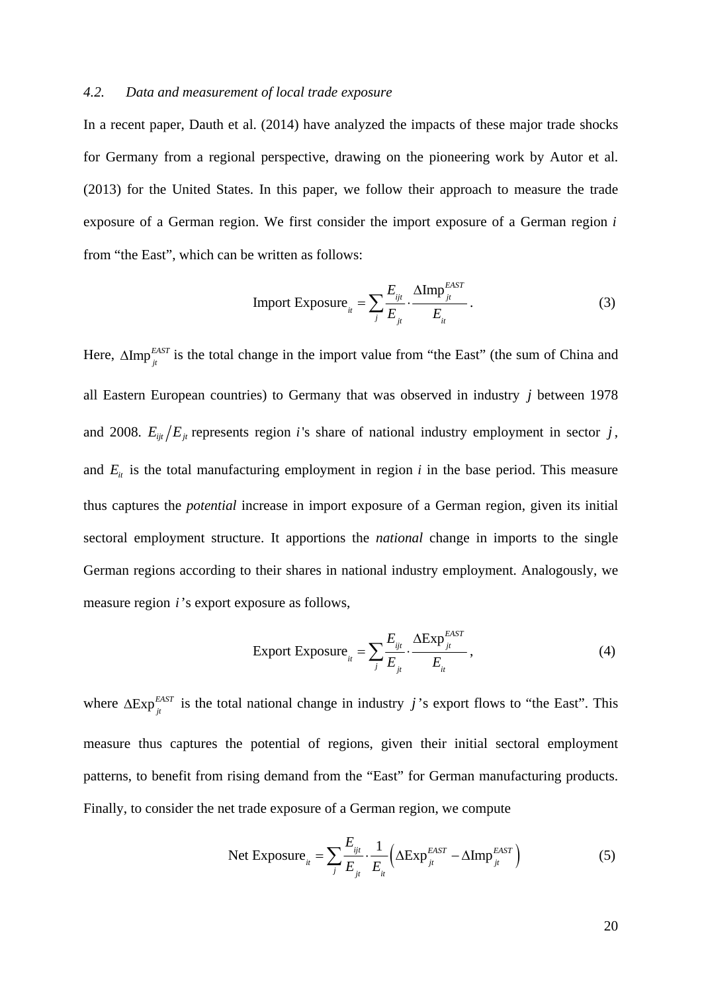#### *4.2. Data and measurement of local trade exposure*

In a recent paper, Dauth et al. (2014) have analyzed the impacts of these major trade shocks for Germany from a regional perspective, drawing on the pioneering work by Autor et al. (2013) for the United States. In this paper, we follow their approach to measure the trade exposure of a German region. We first consider the import exposure of a German region *i* from "the East", which can be written as follows:

$$
Import\,\, Exposure_{i} = \sum_{j} \frac{E_{ijt}}{E_{jt}} \cdot \frac{\Delta Imp_{jt}^{EAST}}{E_{it}}.
$$
\n(3)

Here,  $\Delta \text{Imp}_{it}^{EAST}$  is the total change in the import value from "the East" (the sum of China and all Eastern European countries) to Germany that was observed in industry *j* between 1978 and 2008.  $E_{ijt}/E_{jt}$  represents region *i*'s share of national industry employment in sector *j*, and  $E_{it}$  is the total manufacturing employment in region  $i$  in the base period. This measure thus captures the *potential* increase in import exposure of a German region, given its initial sectoral employment structure. It apportions the *national* change in imports to the single German regions according to their shares in national industry employment. Analogously, we measure region *i*'s export exposure as follows,

$$
\text{Export Exposure}_{it} = \sum_{j} \frac{E_{ijt}}{E_{jt}} \cdot \frac{\Delta \text{Exp}_{jt}^{\text{EAST}}}{E_{it}},\tag{4}
$$

where  $\Delta \text{Exp}_{jt}^{\text{EAST}}$  is the total national change in industry *j*'s export flows to "the East". This measure thus captures the potential of regions, given their initial sectoral employment patterns, to benefit from rising demand from the "East" for German manufacturing products. Finally, to consider the net trade exposure of a German region, we compute

$$
\text{Net Exposure}_{ii} = \sum_{j} \frac{E_{ijt}}{E_{ji}} \cdot \frac{1}{E_{ii}} \left( \Delta \text{Exp}_{jt}^{\text{EAST}} - \Delta \text{Imp}_{jt}^{\text{EAST}} \right) \tag{5}
$$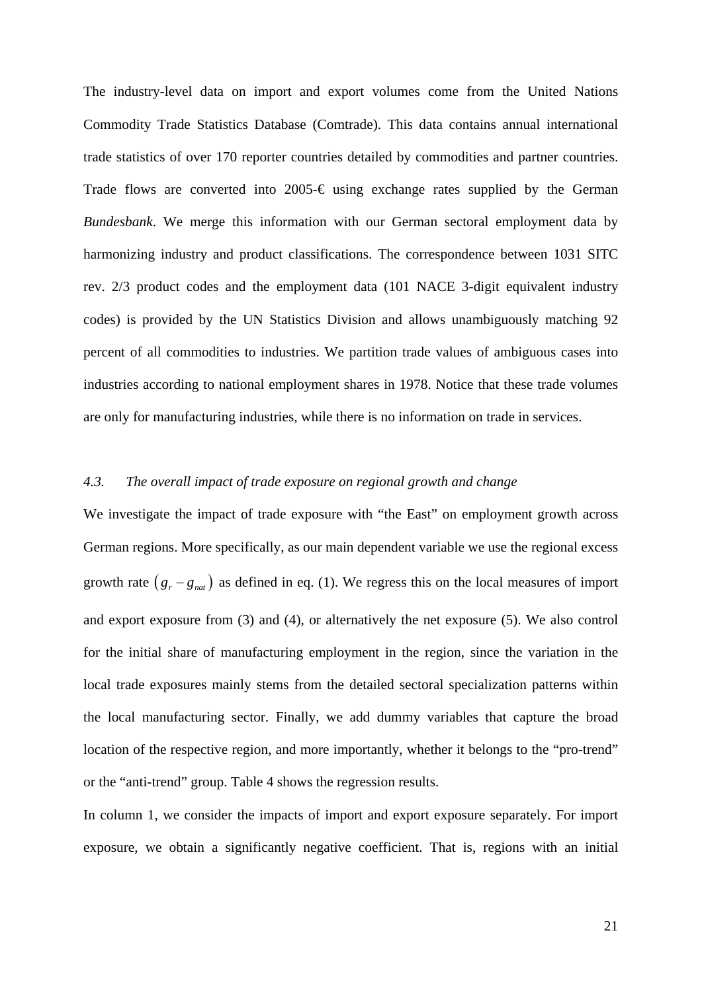The industry-level data on import and export volumes come from the United Nations Commodity Trade Statistics Database (Comtrade). This data contains annual international trade statistics of over 170 reporter countries detailed by commodities and partner countries. Trade flows are converted into 2005- $\epsilon$  using exchange rates supplied by the German *Bundesbank*. We merge this information with our German sectoral employment data by harmonizing industry and product classifications. The correspondence between 1031 SITC rev. 2/3 product codes and the employment data (101 NACE 3-digit equivalent industry codes) is provided by the UN Statistics Division and allows unambiguously matching 92 percent of all commodities to industries. We partition trade values of ambiguous cases into industries according to national employment shares in 1978. Notice that these trade volumes are only for manufacturing industries, while there is no information on trade in services.

#### *4.3. The overall impact of trade exposure on regional growth and change*

We investigate the impact of trade exposure with "the East" on employment growth across German regions. More specifically, as our main dependent variable we use the regional excess growth rate  $(g_r - g_{nat})$  as defined in eq. (1). We regress this on the local measures of import and export exposure from (3) and (4), or alternatively the net exposure (5). We also control for the initial share of manufacturing employment in the region, since the variation in the local trade exposures mainly stems from the detailed sectoral specialization patterns within the local manufacturing sector. Finally, we add dummy variables that capture the broad location of the respective region, and more importantly, whether it belongs to the "pro-trend" or the "anti-trend" group. Table 4 shows the regression results.

In column 1, we consider the impacts of import and export exposure separately. For import exposure, we obtain a significantly negative coefficient. That is, regions with an initial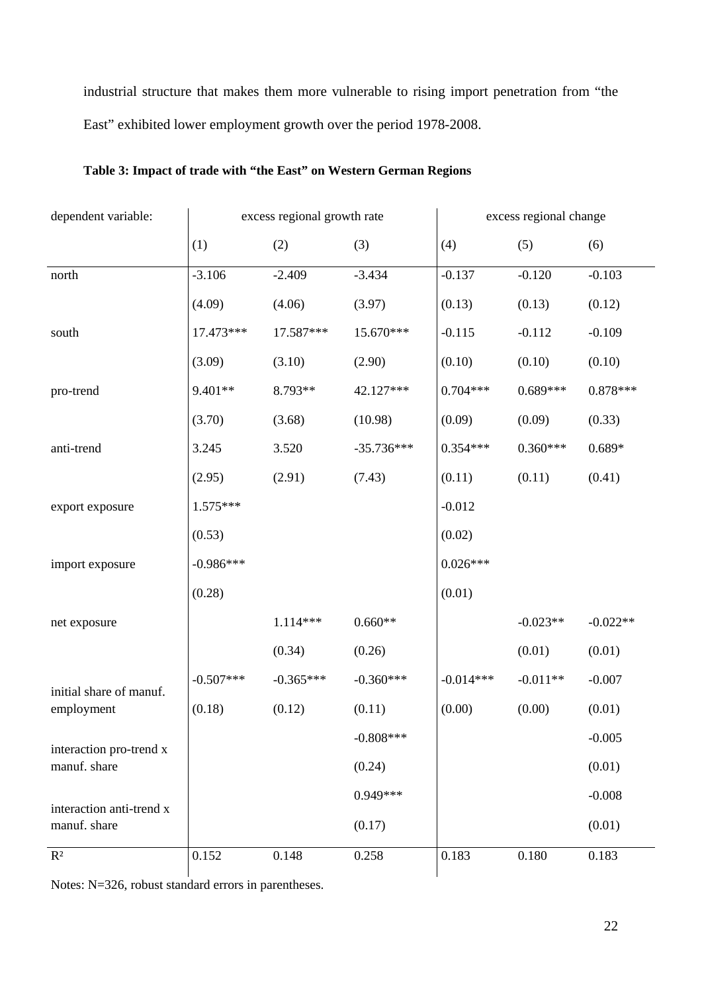industrial structure that makes them more vulnerable to rising import penetration from "the East" exhibited lower employment growth over the period 1978-2008.

| dependent variable:      | excess regional growth rate |             |              | excess regional change |            |            |
|--------------------------|-----------------------------|-------------|--------------|------------------------|------------|------------|
|                          | (1)                         | (2)         | (3)          | (4)                    | (5)        | (6)        |
| $\operatorname{north}$   | $-3.106$                    | $-2.409$    | $-3.434$     | $-0.137$               | $-0.120$   | $-0.103$   |
|                          | (4.09)                      | (4.06)      | (3.97)       | (0.13)                 | (0.13)     | (0.12)     |
| south                    | 17.473***                   | 17.587***   | 15.670***    | $-0.115$               | $-0.112$   | $-0.109$   |
|                          | (3.09)                      | (3.10)      | (2.90)       | (0.10)                 | (0.10)     | (0.10)     |
| pro-trend                | 9.401**                     | 8.793**     | 42.127***    | $0.704***$             | $0.689***$ | $0.878***$ |
|                          | (3.70)                      | (3.68)      | (10.98)      | (0.09)                 | (0.09)     | (0.33)     |
| anti-trend               | 3.245                       | 3.520       | $-35.736***$ | $0.354***$             | $0.360***$ | $0.689*$   |
|                          | (2.95)                      | (2.91)      | (7.43)       | (0.11)                 | (0.11)     | (0.41)     |
| export exposure          | 1.575***                    |             |              | $-0.012$               |            |            |
|                          | (0.53)                      |             |              | (0.02)                 |            |            |
| import exposure          | $-0.986***$                 |             |              | $0.026***$             |            |            |
|                          | (0.28)                      |             |              | (0.01)                 |            |            |
| net exposure             |                             | 1.114***    | $0.660**$    |                        | $-0.023**$ | $-0.022**$ |
|                          |                             | (0.34)      | (0.26)       |                        | (0.01)     | (0.01)     |
| initial share of manuf.  | $-0.507***$                 | $-0.365***$ | $-0.360***$  | $-0.014***$            | $-0.011**$ | $-0.007$   |
| employment               | (0.18)                      | (0.12)      | (0.11)       | (0.00)                 | (0.00)     | (0.01)     |
| interaction pro-trend x  |                             |             | $-0.808***$  |                        |            | $-0.005$   |
| manuf. share             |                             |             | (0.24)       |                        |            | (0.01)     |
| interaction anti-trend x |                             |             | 0.949***     |                        |            | $-0.008$   |
| manuf. share             |                             |             | (0.17)       |                        |            | (0.01)     |
| $R^2$                    | 0.152                       | 0.148       | 0.258        | 0.183                  | 0.180      | 0.183      |

**Table 3: Impact of trade with "the East" on Western German Regions** 

Notes: N=326, robust standard errors in parentheses.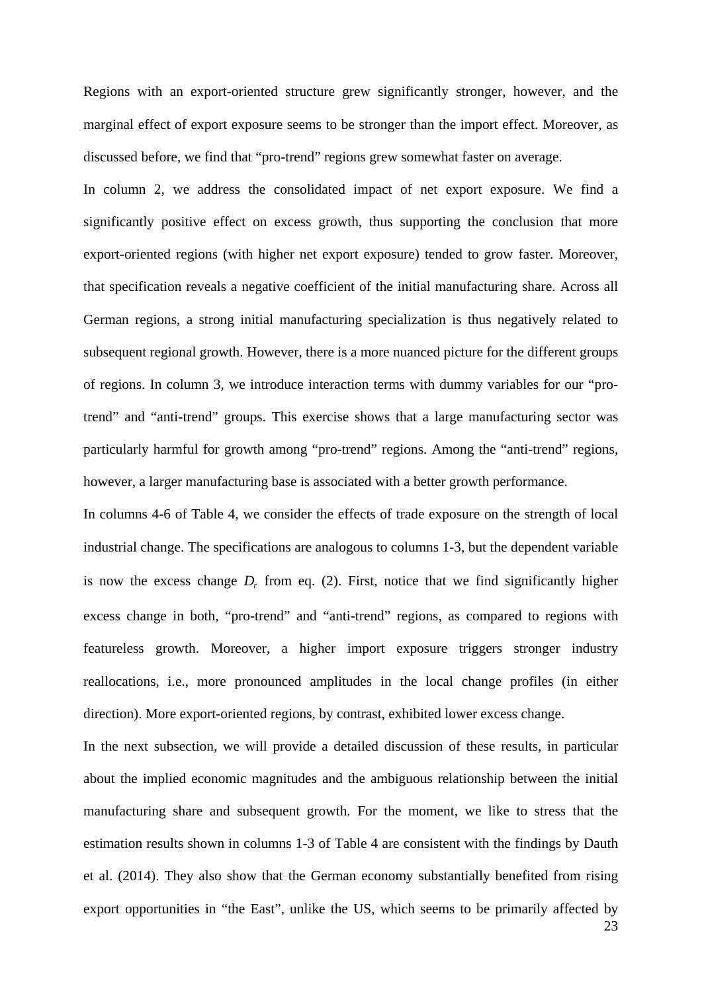Regions with an export-oriented structure grew significantly stronger, however, and the marginal effect of export exposure seems to be stronger than the import effect. Moreover, as discussed before, we find that "pro-trend" regions grew somewhat faster on average.

In column 2, we address the consolidated impact of net export exposure. We find a significantly positive effect on excess growth, thus supporting the conclusion that more export-oriented regions (with higher net export exposure) tended to grow faster. Moreover, that specification reveals a negative coefficient of the initial manufacturing share. Across all German regions, a strong initial manufacturing specialization is thus negatively related to subsequent regional growth. However, there is a more nuanced picture for the different groups of regions. In column 3, we introduce interaction terms with dummy variables for our "protrend" and "anti-trend" groups. This exercise shows that a large manufacturing sector was particularly harmful for growth among "pro-trend" regions. Among the "anti-trend" regions, however, a larger manufacturing base is associated with a better growth performance.

In columns 4-6 of Table 4, we consider the effects of trade exposure on the strength of local industrial change. The specifications are analogous to columns 1-3, but the dependent variable is now the excess change  $D<sub>r</sub>$  from eq. (2). First, notice that we find significantly higher excess change in both, "pro-trend" and "anti-trend" regions, as compared to regions with featureless growth. Moreover, a higher import exposure triggers stronger industry reallocations, i.e., more pronounced amplitudes in the local change profiles (in either direction). More export-oriented regions, by contrast, exhibited lower excess change.

In the next subsection, we will provide a detailed discussion of these results, in particular about the implied economic magnitudes and the ambiguous relationship between the initial manufacturing share and subsequent growth. For the moment, we like to stress that the estimation results shown in columns 1-3 of Table 4 are consistent with the findings by Dauth et al. (2014). They also show that the German economy substantially benefited from rising export opportunities in "the East", unlike the US, which seems to be primarily affected by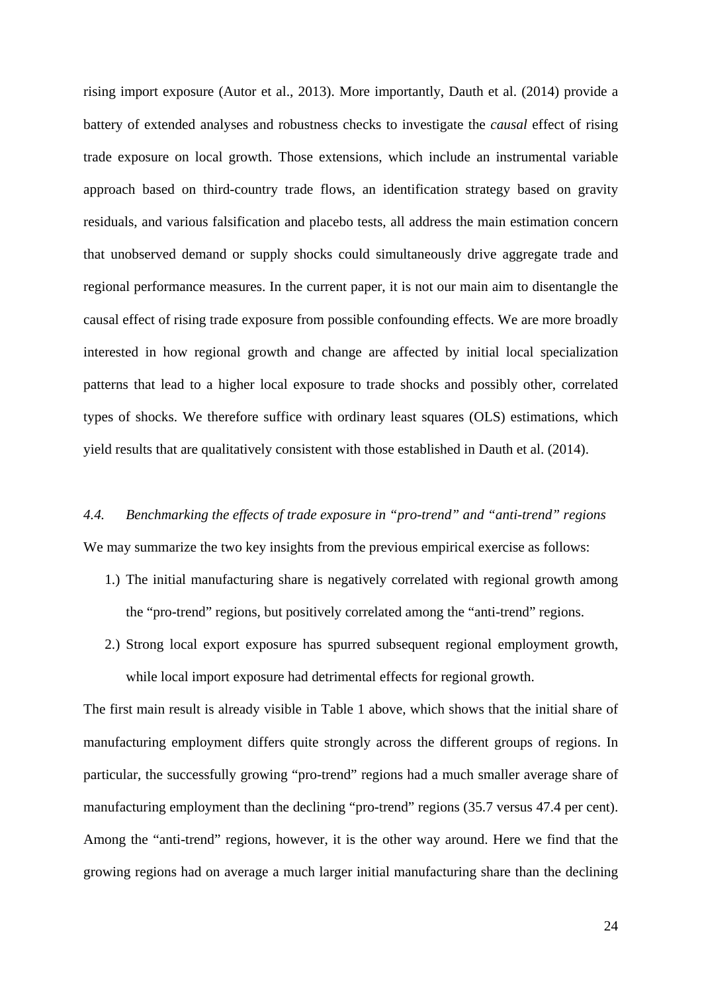rising import exposure (Autor et al., 2013). More importantly, Dauth et al. (2014) provide a battery of extended analyses and robustness checks to investigate the *causal* effect of rising trade exposure on local growth. Those extensions, which include an instrumental variable approach based on third-country trade flows, an identification strategy based on gravity residuals, and various falsification and placebo tests, all address the main estimation concern that unobserved demand or supply shocks could simultaneously drive aggregate trade and regional performance measures. In the current paper, it is not our main aim to disentangle the causal effect of rising trade exposure from possible confounding effects. We are more broadly interested in how regional growth and change are affected by initial local specialization patterns that lead to a higher local exposure to trade shocks and possibly other, correlated types of shocks. We therefore suffice with ordinary least squares (OLS) estimations, which yield results that are qualitatively consistent with those established in Dauth et al. (2014).

## *4.4. Benchmarking the effects of trade exposure in "pro-trend" and "anti-trend" regions*  We may summarize the two key insights from the previous empirical exercise as follows:

- 1.) The initial manufacturing share is negatively correlated with regional growth among the "pro-trend" regions, but positively correlated among the "anti-trend" regions.
- 2.) Strong local export exposure has spurred subsequent regional employment growth, while local import exposure had detrimental effects for regional growth.

The first main result is already visible in Table 1 above, which shows that the initial share of manufacturing employment differs quite strongly across the different groups of regions. In particular, the successfully growing "pro-trend" regions had a much smaller average share of manufacturing employment than the declining "pro-trend" regions (35.7 versus 47.4 per cent). Among the "anti-trend" regions, however, it is the other way around. Here we find that the growing regions had on average a much larger initial manufacturing share than the declining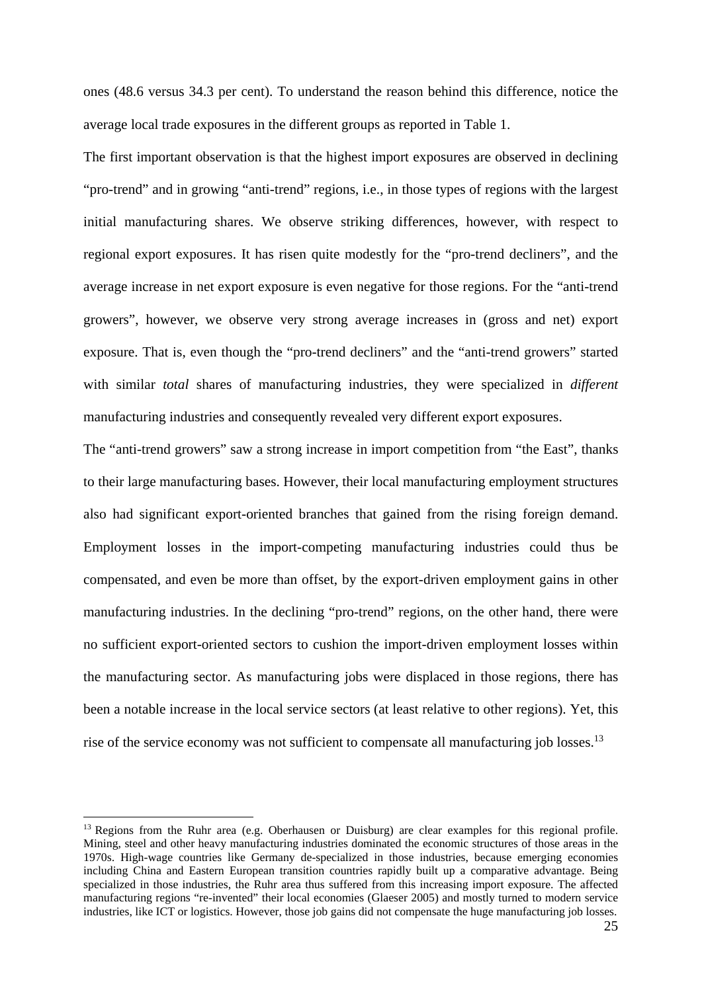ones (48.6 versus 34.3 per cent). To understand the reason behind this difference, notice the average local trade exposures in the different groups as reported in Table 1.

The first important observation is that the highest import exposures are observed in declining "pro-trend" and in growing "anti-trend" regions, i.e., in those types of regions with the largest initial manufacturing shares. We observe striking differences, however, with respect to regional export exposures. It has risen quite modestly for the "pro-trend decliners", and the average increase in net export exposure is even negative for those regions. For the "anti-trend growers", however, we observe very strong average increases in (gross and net) export exposure. That is, even though the "pro-trend decliners" and the "anti-trend growers" started with similar *total* shares of manufacturing industries, they were specialized in *different* manufacturing industries and consequently revealed very different export exposures.

The "anti-trend growers" saw a strong increase in import competition from "the East", thanks to their large manufacturing bases. However, their local manufacturing employment structures also had significant export-oriented branches that gained from the rising foreign demand. Employment losses in the import-competing manufacturing industries could thus be compensated, and even be more than offset, by the export-driven employment gains in other manufacturing industries. In the declining "pro-trend" regions, on the other hand, there were no sufficient export-oriented sectors to cushion the import-driven employment losses within the manufacturing sector. As manufacturing jobs were displaced in those regions, there has been a notable increase in the local service sectors (at least relative to other regions). Yet, this rise of the service economy was not sufficient to compensate all manufacturing job losses.<sup>13</sup>

<sup>&</sup>lt;sup>13</sup> Regions from the Ruhr area (e.g. Oberhausen or Duisburg) are clear examples for this regional profile. Mining, steel and other heavy manufacturing industries dominated the economic structures of those areas in the 1970s. High-wage countries like Germany de-specialized in those industries, because emerging economies including China and Eastern European transition countries rapidly built up a comparative advantage. Being specialized in those industries, the Ruhr area thus suffered from this increasing import exposure. The affected manufacturing regions "re-invented" their local economies (Glaeser 2005) and mostly turned to modern service industries, like ICT or logistics. However, those job gains did not compensate the huge manufacturing job losses.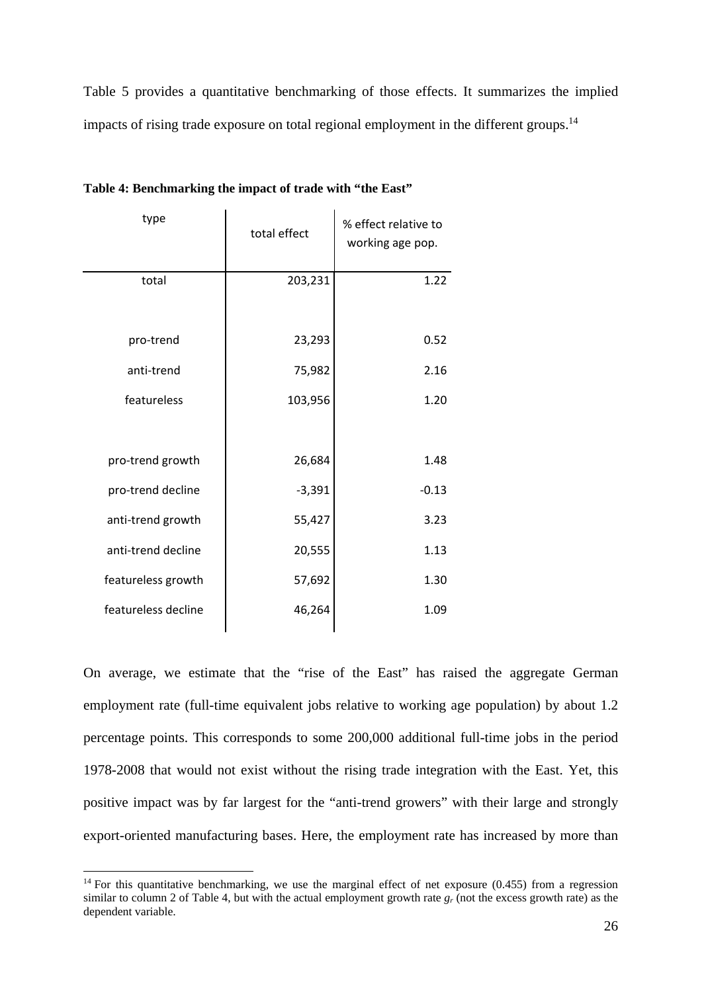Table 5 provides a quantitative benchmarking of those effects. It summarizes the implied impacts of rising trade exposure on total regional employment in the different groups.<sup>14</sup>

| type                | total effect | % effect relative to<br>working age pop. |  |
|---------------------|--------------|------------------------------------------|--|
| total               | 203,231      | 1.22                                     |  |
| pro-trend           | 23,293       | 0.52                                     |  |
| anti-trend          | 75,982       | 2.16                                     |  |
| featureless         | 103,956      | 1.20                                     |  |
| pro-trend growth    | 26,684       | 1.48                                     |  |
| pro-trend decline   | $-3,391$     | $-0.13$                                  |  |
| anti-trend growth   | 55,427       | 3.23                                     |  |
| anti-trend decline  | 20,555       | 1.13                                     |  |
| featureless growth  | 57,692       | 1.30                                     |  |
| featureless decline | 46,264       | 1.09                                     |  |

**Table 4: Benchmarking the impact of trade with "the East"** 

On average, we estimate that the "rise of the East" has raised the aggregate German employment rate (full-time equivalent jobs relative to working age population) by about 1.2 percentage points. This corresponds to some 200,000 additional full-time jobs in the period 1978-2008 that would not exist without the rising trade integration with the East. Yet, this positive impact was by far largest for the "anti-trend growers" with their large and strongly export-oriented manufacturing bases. Here, the employment rate has increased by more than

<sup>&</sup>lt;sup>14</sup> For this quantitative benchmarking, we use the marginal effect of net exposure  $(0.455)$  from a regression similar to column 2 of Table 4, but with the actual employment growth rate  $g_r$  (not the excess growth rate) as the dependent variable.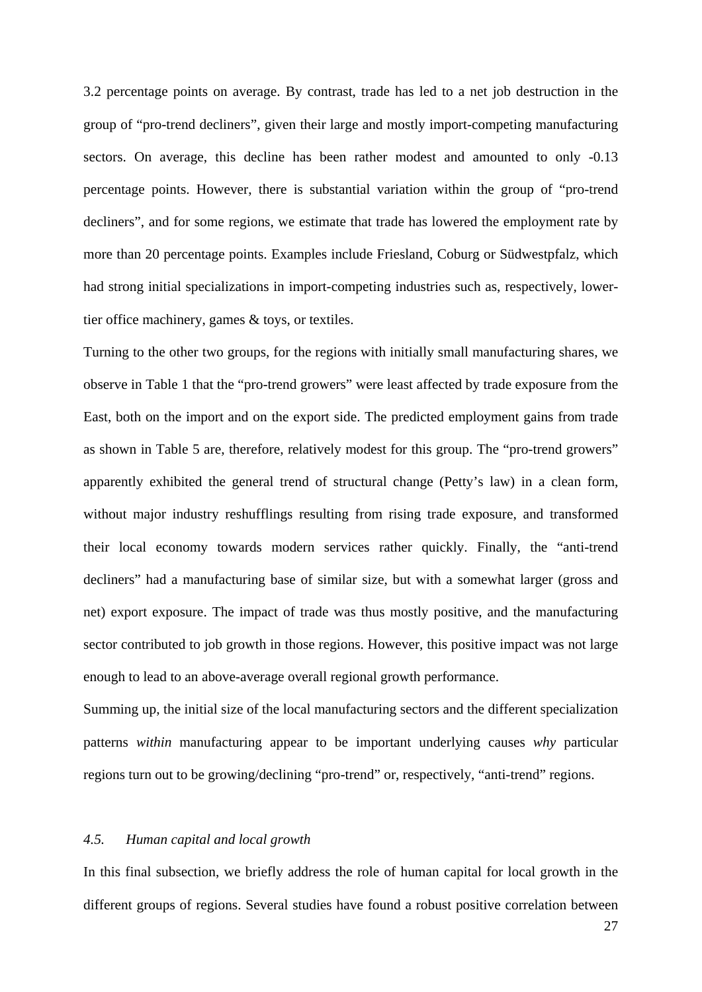3.2 percentage points on average. By contrast, trade has led to a net job destruction in the group of "pro-trend decliners", given their large and mostly import-competing manufacturing sectors. On average, this decline has been rather modest and amounted to only -0.13 percentage points. However, there is substantial variation within the group of "pro-trend decliners", and for some regions, we estimate that trade has lowered the employment rate by more than 20 percentage points. Examples include Friesland, Coburg or Südwestpfalz, which had strong initial specializations in import-competing industries such as, respectively, lowertier office machinery, games & toys, or textiles.

Turning to the other two groups, for the regions with initially small manufacturing shares, we observe in Table 1 that the "pro-trend growers" were least affected by trade exposure from the East, both on the import and on the export side. The predicted employment gains from trade as shown in Table 5 are, therefore, relatively modest for this group. The "pro-trend growers" apparently exhibited the general trend of structural change (Petty's law) in a clean form, without major industry reshufflings resulting from rising trade exposure, and transformed their local economy towards modern services rather quickly. Finally, the "anti-trend decliners" had a manufacturing base of similar size, but with a somewhat larger (gross and net) export exposure. The impact of trade was thus mostly positive, and the manufacturing sector contributed to job growth in those regions. However, this positive impact was not large enough to lead to an above-average overall regional growth performance.

Summing up, the initial size of the local manufacturing sectors and the different specialization patterns *within* manufacturing appear to be important underlying causes *why* particular regions turn out to be growing/declining "pro-trend" or, respectively, "anti-trend" regions.

#### *4.5. Human capital and local growth*

In this final subsection, we briefly address the role of human capital for local growth in the different groups of regions. Several studies have found a robust positive correlation between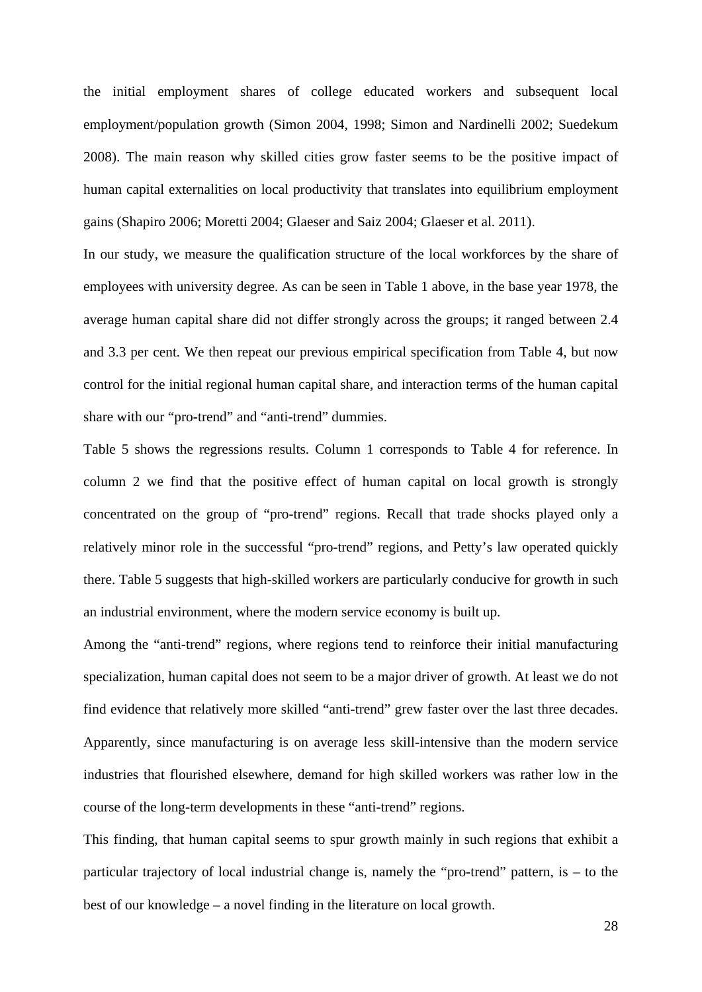the initial employment shares of college educated workers and subsequent local employment/population growth (Simon 2004, 1998; Simon and Nardinelli 2002; Suedekum 2008). The main reason why skilled cities grow faster seems to be the positive impact of human capital externalities on local productivity that translates into equilibrium employment gains (Shapiro 2006; Moretti 2004; Glaeser and Saiz 2004; Glaeser et al. 2011).

In our study, we measure the qualification structure of the local workforces by the share of employees with university degree. As can be seen in Table 1 above, in the base year 1978, the average human capital share did not differ strongly across the groups; it ranged between 2.4 and 3.3 per cent. We then repeat our previous empirical specification from Table 4, but now control for the initial regional human capital share, and interaction terms of the human capital share with our "pro-trend" and "anti-trend" dummies.

Table 5 shows the regressions results. Column 1 corresponds to Table 4 for reference. In column 2 we find that the positive effect of human capital on local growth is strongly concentrated on the group of "pro-trend" regions. Recall that trade shocks played only a relatively minor role in the successful "pro-trend" regions, and Petty's law operated quickly there. Table 5 suggests that high-skilled workers are particularly conducive for growth in such an industrial environment, where the modern service economy is built up.

Among the "anti-trend" regions, where regions tend to reinforce their initial manufacturing specialization, human capital does not seem to be a major driver of growth. At least we do not find evidence that relatively more skilled "anti-trend" grew faster over the last three decades. Apparently, since manufacturing is on average less skill-intensive than the modern service industries that flourished elsewhere, demand for high skilled workers was rather low in the course of the long-term developments in these "anti-trend" regions.

This finding, that human capital seems to spur growth mainly in such regions that exhibit a particular trajectory of local industrial change is, namely the "pro-trend" pattern, is – to the best of our knowledge – a novel finding in the literature on local growth.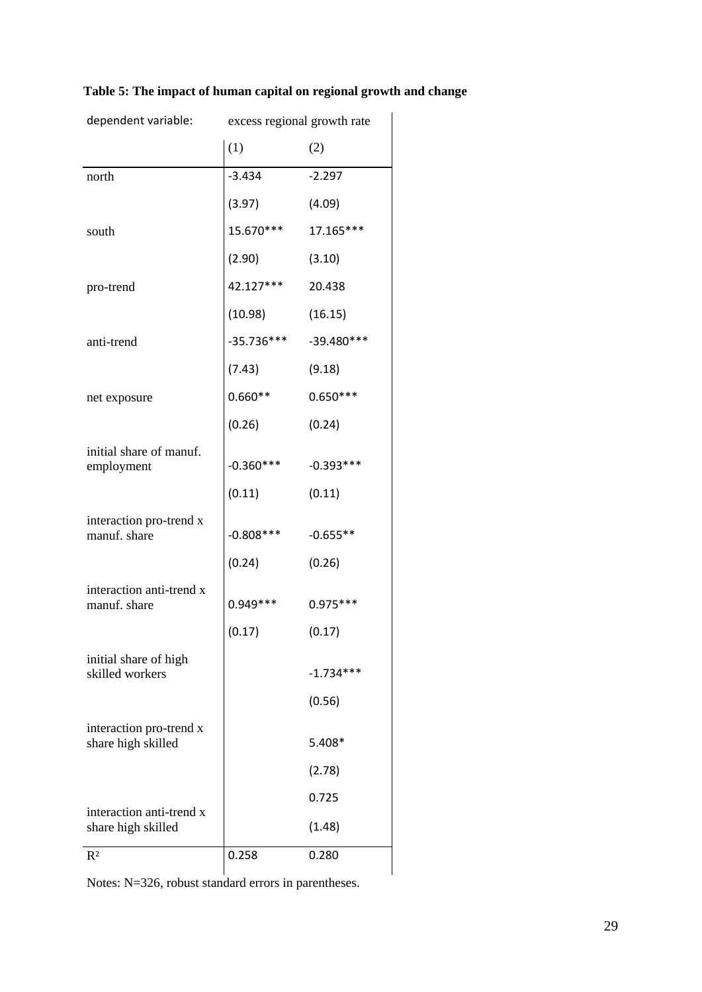| dependent variable:                            | excess regional growth rate |              |  |
|------------------------------------------------|-----------------------------|--------------|--|
|                                                | (1)                         | (2)          |  |
| north                                          | $-3.434$                    | $-2.297$     |  |
|                                                | (3.97)                      | (4.09)       |  |
| south                                          | 15.670***                   | 17.165***    |  |
|                                                | (2.90)                      | (3.10)       |  |
| pro-trend                                      | 42.127***                   | 20.438       |  |
|                                                | (10.98)                     | (16.15)      |  |
| anti-trend                                     | $-35.736***$                | $-39.480***$ |  |
|                                                | (7.43)                      | (9.18)       |  |
| net exposure                                   | $0.660**$                   | $0.650***$   |  |
|                                                | (0.26)                      | (0.24)       |  |
| initial share of manuf.<br>employment          | $-0.360***$                 | $-0.393***$  |  |
|                                                | (0.11)                      | (0.11)       |  |
| interaction pro-trend x<br>manuf. share        | $-0.808***$                 | $-0.655**$   |  |
|                                                | (0.24)                      | (0.26)       |  |
| interaction anti-trend x<br>manuf. share       | $0.949***$                  | $0.975***$   |  |
|                                                | (0.17)                      | (0.17)       |  |
| initial share of high<br>skilled workers       |                             | $-1.734***$  |  |
|                                                |                             | (0.56)       |  |
| interaction pro-trend x<br>share high skilled  |                             | 5.408*       |  |
|                                                |                             | (2.78)       |  |
|                                                |                             | 0.725        |  |
| interaction anti-trend x<br>share high skilled |                             | (1.48)       |  |
| R <sup>2</sup>                                 | 0.258                       | 0.280        |  |

### **Table 5: The impact of human capital on regional growth and change**

Notes: N=326, robust standard errors in parentheses.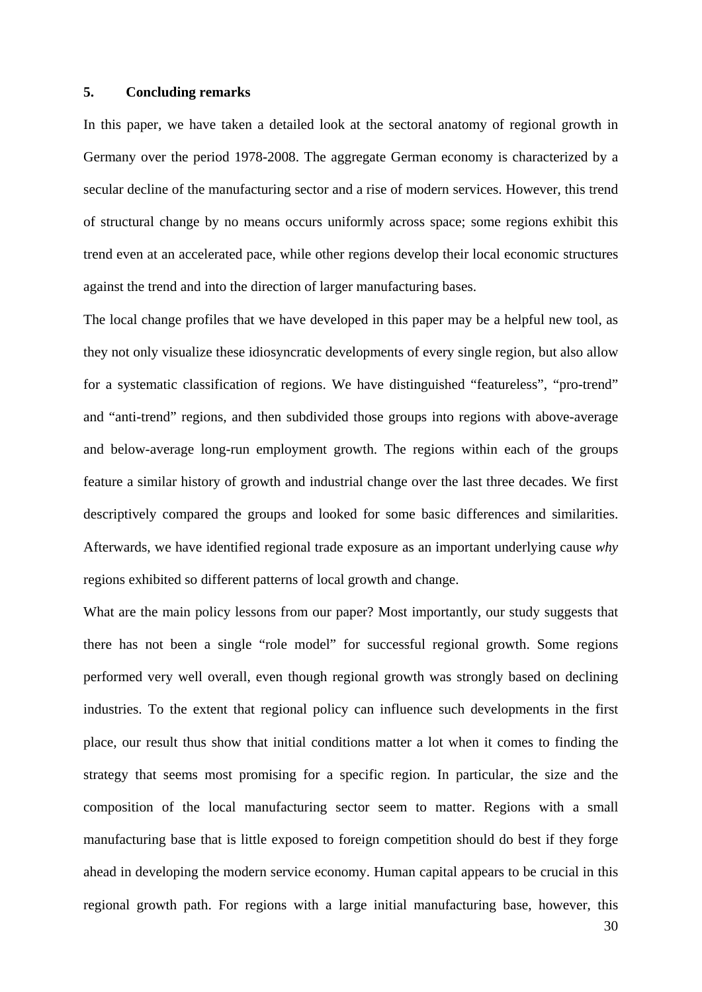#### **5. Concluding remarks**

In this paper, we have taken a detailed look at the sectoral anatomy of regional growth in Germany over the period 1978-2008. The aggregate German economy is characterized by a secular decline of the manufacturing sector and a rise of modern services. However, this trend of structural change by no means occurs uniformly across space; some regions exhibit this trend even at an accelerated pace, while other regions develop their local economic structures against the trend and into the direction of larger manufacturing bases.

The local change profiles that we have developed in this paper may be a helpful new tool, as they not only visualize these idiosyncratic developments of every single region, but also allow for a systematic classification of regions. We have distinguished "featureless", "pro-trend" and "anti-trend" regions, and then subdivided those groups into regions with above-average and below-average long-run employment growth. The regions within each of the groups feature a similar history of growth and industrial change over the last three decades. We first descriptively compared the groups and looked for some basic differences and similarities. Afterwards, we have identified regional trade exposure as an important underlying cause *why* regions exhibited so different patterns of local growth and change.

What are the main policy lessons from our paper? Most importantly, our study suggests that there has not been a single "role model" for successful regional growth. Some regions performed very well overall, even though regional growth was strongly based on declining industries. To the extent that regional policy can influence such developments in the first place, our result thus show that initial conditions matter a lot when it comes to finding the strategy that seems most promising for a specific region. In particular, the size and the composition of the local manufacturing sector seem to matter. Regions with a small manufacturing base that is little exposed to foreign competition should do best if they forge ahead in developing the modern service economy. Human capital appears to be crucial in this regional growth path. For regions with a large initial manufacturing base, however, this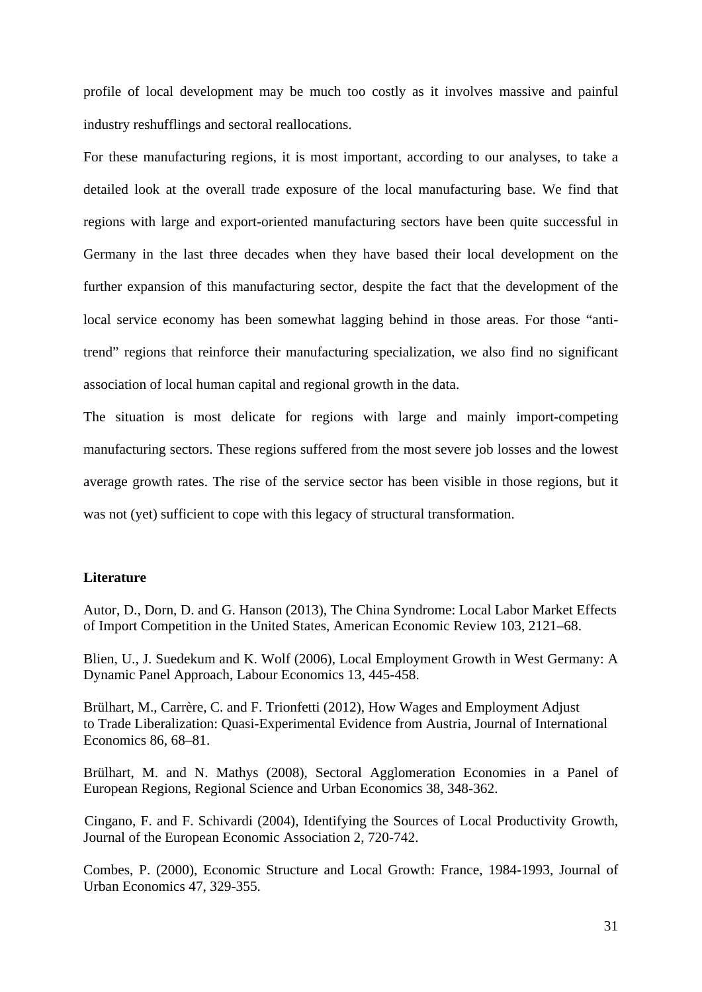profile of local development may be much too costly as it involves massive and painful industry reshufflings and sectoral reallocations.

For these manufacturing regions, it is most important, according to our analyses, to take a detailed look at the overall trade exposure of the local manufacturing base. We find that regions with large and export-oriented manufacturing sectors have been quite successful in Germany in the last three decades when they have based their local development on the further expansion of this manufacturing sector, despite the fact that the development of the local service economy has been somewhat lagging behind in those areas. For those "antitrend" regions that reinforce their manufacturing specialization, we also find no significant association of local human capital and regional growth in the data.

The situation is most delicate for regions with large and mainly import-competing manufacturing sectors. These regions suffered from the most severe job losses and the lowest average growth rates. The rise of the service sector has been visible in those regions, but it was not (yet) sufficient to cope with this legacy of structural transformation.

#### **Literature**

Autor, D., Dorn, D. and G. Hanson (2013), The China Syndrome: Local Labor Market Effects of Import Competition in the United States, American Economic Review 103, 2121–68.

Blien, U., J. Suedekum and K. Wolf (2006), Local Employment Growth in West Germany: A Dynamic Panel Approach, Labour Economics 13, 445-458.

Brülhart, M., Carrère, C. and F. Trionfetti (2012), How Wages and Employment Adjust to Trade Liberalization: Quasi-Experimental Evidence from Austria, Journal of International Economics 86, 68–81.

Brülhart, M. and N. Mathys (2008), Sectoral Agglomeration Economies in a Panel of European Regions, Regional Science and Urban Economics 38, 348-362.

Cingano, F. and F. Schivardi (2004), Identifying the Sources of Local Productivity Growth, Journal of the European Economic Association 2, 720-742.

Combes, P. (2000), Economic Structure and Local Growth: France, 1984-1993, Journal of Urban Economics 47, 329-355.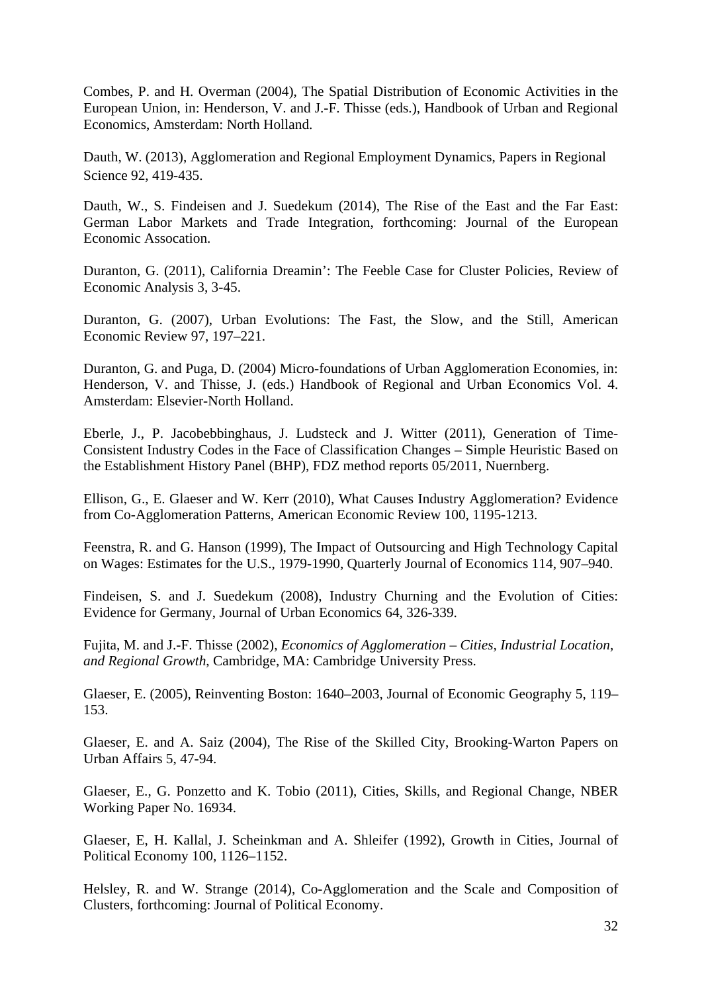Combes, P. and H. Overman (2004), The Spatial Distribution of Economic Activities in the European Union, in: Henderson, V. and J.-F. Thisse (eds.), Handbook of Urban and Regional Economics, Amsterdam: North Holland.

Dauth, W. (2013), Agglomeration and Regional Employment Dynamics, Papers in Regional Science 92, 419-435.

Dauth, W., S. Findeisen and J. Suedekum (2014), The Rise of the East and the Far East: German Labor Markets and Trade Integration, forthcoming: Journal of the European Economic Assocation.

Duranton, G. (2011), California Dreamin': The Feeble Case for Cluster Policies, Review of Economic Analysis 3, 3-45.

Duranton, G. (2007), Urban Evolutions: The Fast, the Slow, and the Still, American Economic Review 97, 197–221.

Duranton, G. and Puga, D. (2004) Micro-foundations of Urban Agglomeration Economies, in: Henderson, V. and Thisse, J. (eds.) Handbook of Regional and Urban Economics Vol. 4. Amsterdam: Elsevier-North Holland.

Eberle, J., P. Jacobebbinghaus, J. Ludsteck and J. Witter (2011), Generation of Time-Consistent Industry Codes in the Face of Classification Changes – Simple Heuristic Based on the Establishment History Panel (BHP), FDZ method reports 05/2011, Nuernberg.

Ellison, G., E. Glaeser and W. Kerr (2010), What Causes Industry Agglomeration? Evidence from Co-Agglomeration Patterns, American Economic Review 100, 1195-1213.

Feenstra, R. and G. Hanson (1999), The Impact of Outsourcing and High Technology Capital on Wages: Estimates for the U.S., 1979-1990, Quarterly Journal of Economics 114, 907–940.

Findeisen, S. and J. Suedekum (2008), Industry Churning and the Evolution of Cities: Evidence for Germany, Journal of Urban Economics 64, 326-339.

Fujita, M. and J.-F. Thisse (2002), *Economics of Agglomeration – Cities, Industrial Location, and Regional Growth*, Cambridge, MA: Cambridge University Press.

Glaeser, E. (2005), Reinventing Boston: 1640–2003, Journal of Economic Geography 5, 119– 153.

Glaeser, E. and A. Saiz (2004), The Rise of the Skilled City, Brooking-Warton Papers on Urban Affairs 5, 47-94.

Glaeser, E., G. Ponzetto and K. Tobio (2011), Cities, Skills, and Regional Change, NBER Working Paper No. 16934.

Glaeser, E, H. Kallal, J. Scheinkman and A. Shleifer (1992), Growth in Cities, Journal of Political Economy 100, 1126–1152.

Helsley, R. and W. Strange (2014), Co-Agglomeration and the Scale and Composition of Clusters, forthcoming: Journal of Political Economy.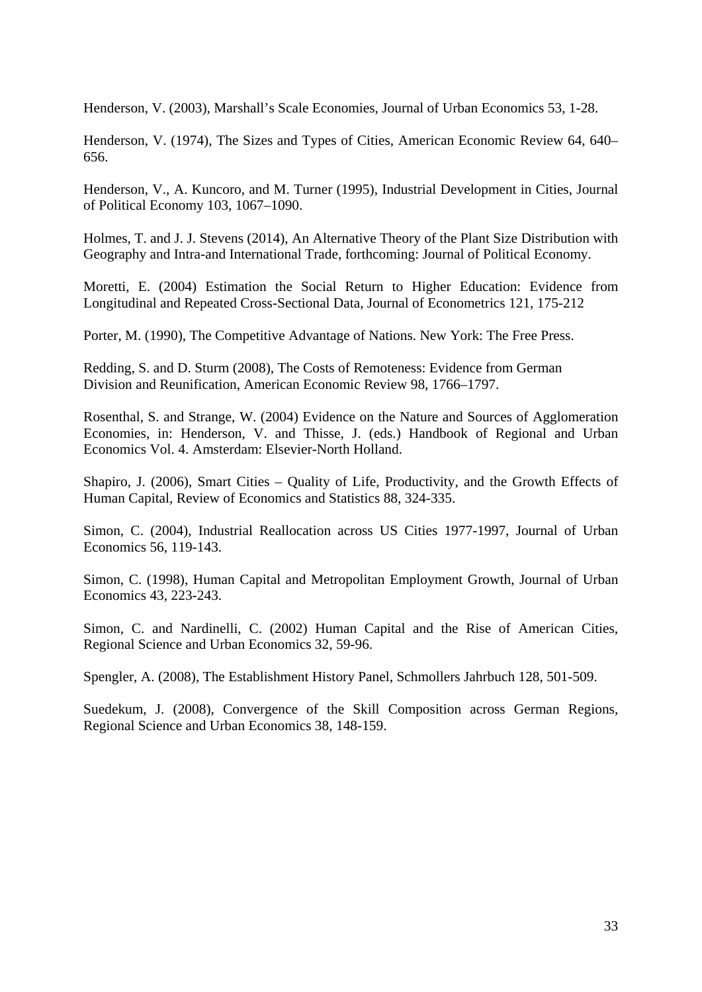Henderson, V. (2003), Marshall's Scale Economies, Journal of Urban Economics 53, 1-28.

Henderson, V. (1974), The Sizes and Types of Cities, American Economic Review 64, 640– 656.

Henderson, V., A. Kuncoro, and M. Turner (1995), Industrial Development in Cities, Journal of Political Economy 103, 1067–1090.

Holmes, T. and J. J. Stevens (2014), An Alternative Theory of the Plant Size Distribution with Geography and Intra-and International Trade, forthcoming: Journal of Political Economy.

Moretti, E. (2004) Estimation the Social Return to Higher Education: Evidence from Longitudinal and Repeated Cross-Sectional Data, Journal of Econometrics 121, 175-212

Porter, M. (1990), The Competitive Advantage of Nations. New York: The Free Press.

Redding, S. and D. Sturm (2008), The Costs of Remoteness: Evidence from German Division and Reunification, American Economic Review 98, 1766–1797.

Rosenthal, S. and Strange, W. (2004) Evidence on the Nature and Sources of Agglomeration Economies, in: Henderson, V. and Thisse, J. (eds.) Handbook of Regional and Urban Economics Vol. 4. Amsterdam: Elsevier-North Holland.

Shapiro, J. (2006), Smart Cities – Quality of Life, Productivity, and the Growth Effects of Human Capital, Review of Economics and Statistics 88, 324-335.

Simon, C. (2004), Industrial Reallocation across US Cities 1977-1997, Journal of Urban Economics 56, 119-143.

Simon, C. (1998), Human Capital and Metropolitan Employment Growth, Journal of Urban Economics 43, 223-243.

Simon, C. and Nardinelli, C. (2002) Human Capital and the Rise of American Cities, Regional Science and Urban Economics 32, 59-96.

Spengler, A. (2008), The Establishment History Panel, Schmollers Jahrbuch 128, 501-509.

Suedekum, J. (2008), Convergence of the Skill Composition across German Regions, Regional Science and Urban Economics 38, 148-159.